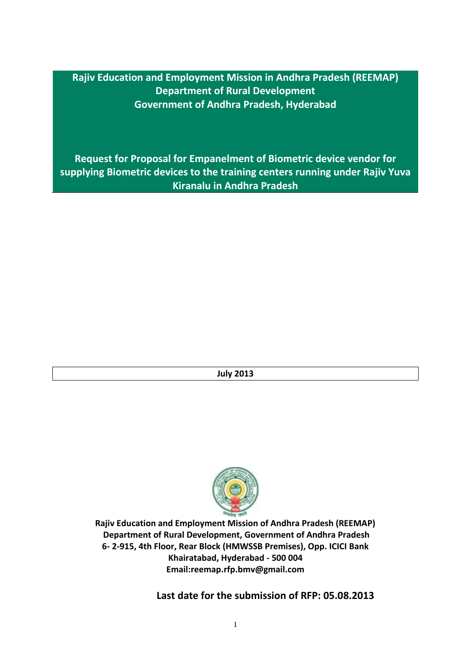**Rajiv Education and Employment Mission in Andhra Pradesh (REEMAP) Department of Rural Development Government of Andhra Pradesh, Hyderabad**

**Request for Proposal for Empanelment of Biometric device vendor for supplying Biometric devices to the training centers running under Rajiv Yuva Kiranalu in Andhra Pradesh** 

**July 2013**



**Rajiv Education and Employment Mission of Andhra Pradesh (REEMAP) Department of Rural Development, Government of Andhra Pradesh 6- 2-915, 4th Floor, Rear Block (HMWSSB Premises), Opp. ICICI Bank Khairatabad, Hyderabad - 500 004 Email:reemap.rfp.bmv@gmail.com**

**Last date for the submission of RFP: 05.08.2013**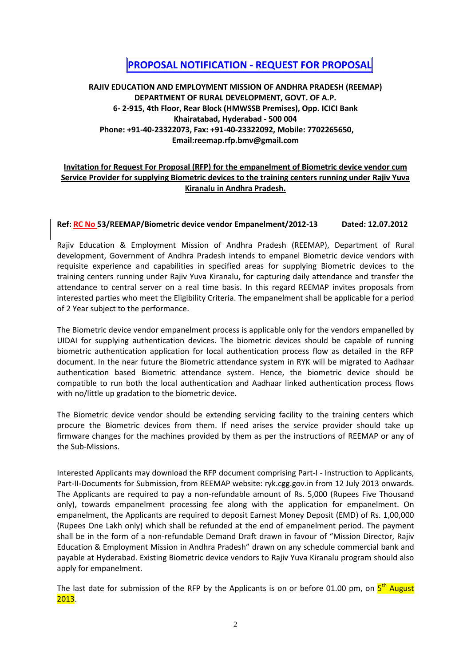# **.PROPOSAL NOTIFICATION - REQUEST FOR PROPOSAL**

## **RAJIV EDUCATION AND EMPLOYMENT MISSION OF ANDHRA PRADESH (REEMAP) DEPARTMENT OF RURAL DEVELOPMENT, GOVT. OF A.P. 6- 2-915, 4th Floor, Rear Block (HMWSSB Premises), Opp. ICICI Bank Khairatabad, Hyderabad - 500 004 Phone: +91-40-23322073, Fax: +91-40-23322092, Mobile: 7702265650, Email:reemap.rfp.bmv@gmail.com**

## **Invitation for Request For Proposal (RFP) for the empanelment of Biometric device vendor cum Service Provider for supplying Biometric devices to the training centers running under Rajiv Yuva Kiranalu in Andhra Pradesh.**

## **Ref: RC No 53/REEMAP/Biometric device vendor Empanelment/2012-13 Dated: 12.07.2012**

Rajiv Education & Employment Mission of Andhra Pradesh (REEMAP), Department of Rural development, Government of Andhra Pradesh intends to empanel Biometric device vendors with requisite experience and capabilities in specified areas for supplying Biometric devices to the training centers running under Rajiv Yuva Kiranalu, for capturing daily attendance and transfer the attendance to central server on a real time basis. In this regard REEMAP invites proposals from interested parties who meet the Eligibility Criteria. The empanelment shall be applicable for a period of 2 Year subject to the performance.

The Biometric device vendor empanelment process is applicable only for the vendors empanelled by UIDAI for supplying authentication devices. The biometric devices should be capable of running biometric authentication application for local authentication process flow as detailed in the RFP document. In the near future the Biometric attendance system in RYK will be migrated to Aadhaar authentication based Biometric attendance system. Hence, the biometric device should be compatible to run both the local authentication and Aadhaar linked authentication process flows with no/little up gradation to the biometric device.

The Biometric device vendor should be extending servicing facility to the training centers which procure the Biometric devices from them. If need arises the service provider should take up firmware changes for the machines provided by them as per the instructions of REEMAP or any of the Sub-Missions.

Interested Applicants may download the RFP document comprising Part-I - Instruction to Applicants, Part-II-Documents for Submission, from REEMAP website: ryk.cgg.gov.in from 12 July 2013 onwards. The Applicants are required to pay a non-refundable amount of Rs. 5,000 (Rupees Five Thousand only), towards empanelment processing fee along with the application for empanelment. On empanelment, the Applicants are required to deposit Earnest Money Deposit (EMD) of Rs. 1,00,000 (Rupees One Lakh only) which shall be refunded at the end of empanelment period. The payment shall be in the form of a non-refundable Demand Draft drawn in favour of "Mission Director, Rajiv Education & Employment Mission in Andhra Pradesh" drawn on any schedule commercial bank and payable at Hyderabad. Existing Biometric device vendors to Rajiv Yuva Kiranalu program should also apply for empanelment.

The last date for submission of the RFP by the Applicants is on or before 01.00 pm, on  $5^{\text{th}}$  August 2013.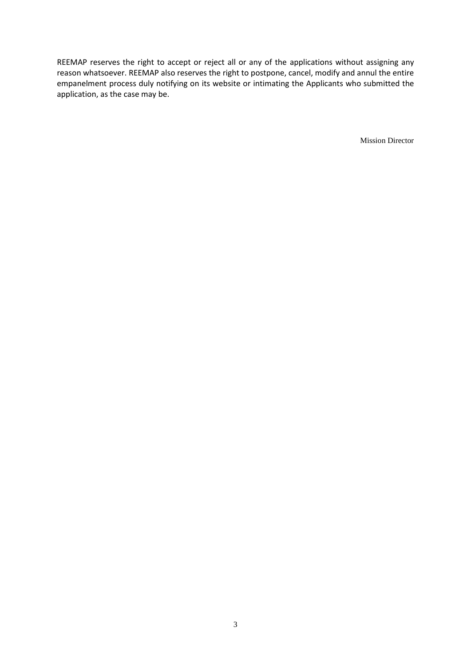REEMAP reserves the right to accept or reject all or any of the applications without assigning any reason whatsoever. REEMAP also reserves the right to postpone, cancel, modify and annul the entire empanelment process duly notifying on its website or intimating the Applicants who submitted the application, as the case may be.

Mission Director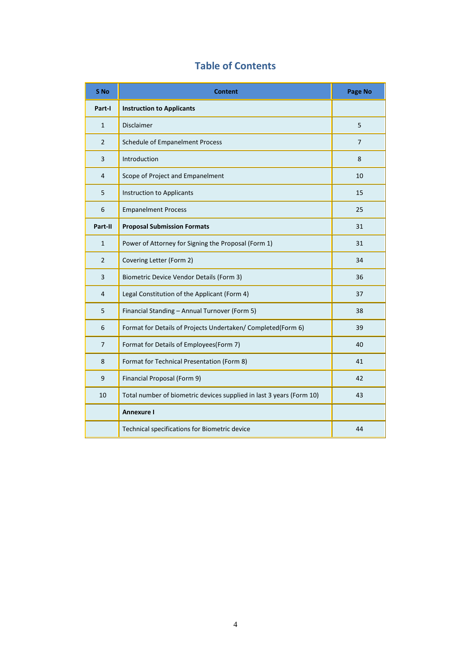# **Table of Contents**

| S No           | <b>Content</b>                                                       | Page No |
|----------------|----------------------------------------------------------------------|---------|
| Part-I         | <b>Instruction to Applicants</b>                                     |         |
| $\mathbf{1}$   | <b>Disclaimer</b>                                                    | 5       |
| $\overline{2}$ | Schedule of Empanelment Process                                      | 7       |
| 3              | Introduction                                                         | 8       |
| 4              | Scope of Project and Empanelment                                     | 10      |
| 5              | <b>Instruction to Applicants</b>                                     | 15      |
| 6              | <b>Empanelment Process</b>                                           | 25      |
| Part-II        | <b>Proposal Submission Formats</b>                                   | 31      |
| $\mathbf{1}$   | Power of Attorney for Signing the Proposal (Form 1)                  | 31      |
| $\overline{2}$ | Covering Letter (Form 2)                                             | 34      |
| 3              | Biometric Device Vendor Details (Form 3)                             | 36      |
| 4              | Legal Constitution of the Applicant (Form 4)                         | 37      |
| 5              | Financial Standing - Annual Turnover (Form 5)                        | 38      |
| 6              | Format for Details of Projects Undertaken/ Completed(Form 6)         | 39      |
| 7              | Format for Details of Employees(Form 7)                              | 40      |
| 8              | Format for Technical Presentation (Form 8)                           | 41      |
| 9              | Financial Proposal (Form 9)                                          | 42      |
| 10             | Total number of biometric devices supplied in last 3 years (Form 10) | 43      |
|                | <b>Annexure I</b>                                                    |         |
|                | Technical specifications for Biometric device                        | 44      |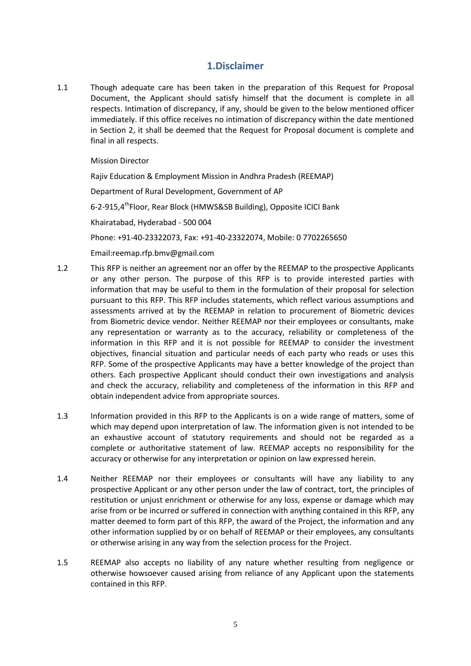## **1.Disclaimer**

1.1 Though adequate care has been taken in the preparation of this Request for Proposal Document, the Applicant should satisfy himself that the document is complete in all respects. Intimation of discrepancy, if any, should be given to the below mentioned officer immediately. If this office receives no intimation of discrepancy within the date mentioned in Section 2, it shall be deemed that the Request for Proposal document is complete and final in all respects.

Mission Director

Rajiv Education & Employment Mission in Andhra Pradesh (REEMAP) Department of Rural Development, Government of AP 6-2-915,4<sup>th</sup>Floor, Rear Block (HMWS&SB Building), Opposite ICICI Bank Khairatabad, Hyderabad - 500 004 Phone: +91-40-23322073, Fax: +91-40-23322074, Mobile: 0 7702265650

Email:reemap.rfp.bmv@gmail.com

- 1.2 This RFP is neither an agreement nor an offer by the REEMAP to the prospective Applicants or any other person. The purpose of this RFP is to provide interested parties with information that may be useful to them in the formulation of their proposal for selection pursuant to this RFP. This RFP includes statements, which reflect various assumptions and assessments arrived at by the REEMAP in relation to procurement of Biometric devices from Biometric device vendor. Neither REEMAP nor their employees or consultants, make any representation or warranty as to the accuracy, reliability or completeness of the information in this RFP and it is not possible for REEMAP to consider the investment objectives, financial situation and particular needs of each party who reads or uses this RFP. Some of the prospective Applicants may have a better knowledge of the project than others. Each prospective Applicant should conduct their own investigations and analysis and check the accuracy, reliability and completeness of the information in this RFP and obtain independent advice from appropriate sources.
- 1.3 Information provided in this RFP to the Applicants is on a wide range of matters, some of which may depend upon interpretation of law. The information given is not intended to be an exhaustive account of statutory requirements and should not be regarded as a complete or authoritative statement of law. REEMAP accepts no responsibility for the accuracy or otherwise for any interpretation or opinion on law expressed herein.
- 1.4 Neither REEMAP nor their employees or consultants will have any liability to any prospective Applicant or any other person under the law of contract, tort, the principles of restitution or unjust enrichment or otherwise for any loss, expense or damage which may arise from or be incurred or suffered in connection with anything contained in this RFP, any matter deemed to form part of this RFP, the award of the Project, the information and any other information supplied by or on behalf of REEMAP or their employees, any consultants or otherwise arising in any way from the selection process for the Project.
- 1.5 REEMAP also accepts no liability of any nature whether resulting from negligence or otherwise howsoever caused arising from reliance of any Applicant upon the statements contained in this RFP.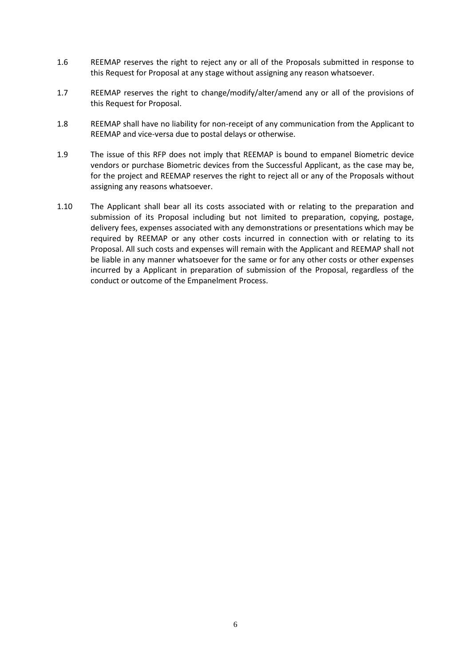- 1.6 REEMAP reserves the right to reject any or all of the Proposals submitted in response to this Request for Proposal at any stage without assigning any reason whatsoever.
- 1.7 REEMAP reserves the right to change/modify/alter/amend any or all of the provisions of this Request for Proposal.
- 1.8 REEMAP shall have no liability for non-receipt of any communication from the Applicant to REEMAP and vice-versa due to postal delays or otherwise.
- 1.9 The issue of this RFP does not imply that REEMAP is bound to empanel Biometric device vendors or purchase Biometric devices from the Successful Applicant, as the case may be, for the project and REEMAP reserves the right to reject all or any of the Proposals without assigning any reasons whatsoever.
- 1.10 The Applicant shall bear all its costs associated with or relating to the preparation and submission of its Proposal including but not limited to preparation, copying, postage, delivery fees, expenses associated with any demonstrations or presentations which may be required by REEMAP or any other costs incurred in connection with or relating to its Proposal. All such costs and expenses will remain with the Applicant and REEMAP shall not be liable in any manner whatsoever for the same or for any other costs or other expenses incurred by a Applicant in preparation of submission of the Proposal, regardless of the conduct or outcome of the Empanelment Process.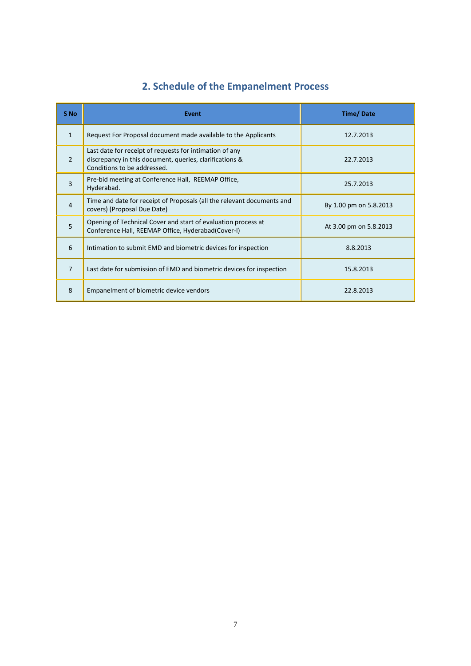| S <sub>No</sub> | <b>Event</b>                                                                                                                                      | <b>Time/Date</b>       |
|-----------------|---------------------------------------------------------------------------------------------------------------------------------------------------|------------------------|
| $\mathbf{1}$    | Request For Proposal document made available to the Applicants                                                                                    | 12.7.2013              |
| $\mathcal{P}$   | Last date for receipt of requests for intimation of any<br>discrepancy in this document, queries, clarifications &<br>Conditions to be addressed. | 22.7.2013              |
| 3               | Pre-bid meeting at Conference Hall, REEMAP Office,<br>Hyderabad.                                                                                  | 25.7.2013              |
| $\overline{4}$  | Time and date for receipt of Proposals (all the relevant documents and<br>covers) (Proposal Due Date)                                             | By 1.00 pm on 5.8.2013 |
| 5               | Opening of Technical Cover and start of evaluation process at<br>Conference Hall, REEMAP Office, Hyderabad(Cover-I)                               | At 3.00 pm on 5.8.2013 |
| 6               | Intimation to submit EMD and biometric devices for inspection                                                                                     | 8.8.2013               |
| 7               | Last date for submission of EMD and biometric devices for inspection                                                                              | 15.8.2013              |
| 8               | Empanelment of biometric device vendors                                                                                                           | 22.8.2013              |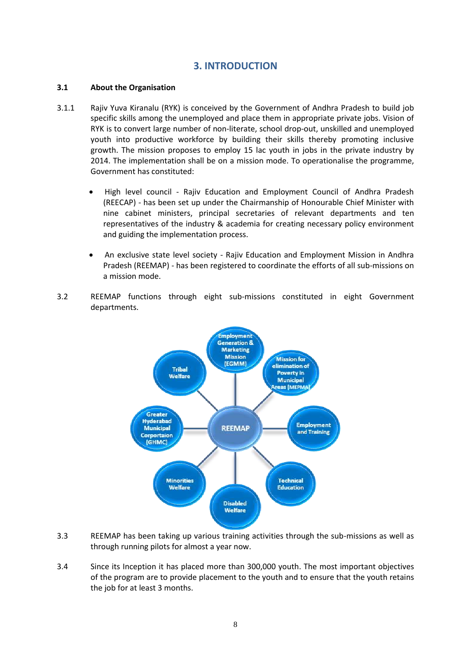## **3. INTRODUCTION**

## **3.1 About the Organisation**

- 3.1.1 Rajiv Yuva Kiranalu (RYK) is conceived by the Government of Andhra Pradesh to build job specific skills among the unemployed and place them in appropriate private jobs. Vision of RYK is to convert large number of non-literate, school drop-out, unskilled and unemployed youth into productive workforce by building their skills thereby promoting inclusive growth. The mission proposes to employ 15 lac youth in jobs in the private industry by 2014. The implementation shall be on a mission mode. To operationalise the programme, Government has constituted:
	- High level council Rajiv Education and Employment Council of Andhra Pradesh (REECAP) - has been set up under the Chairmanship of Honourable Chief Minister with nine cabinet ministers, principal secretaries of relevant departments and ten representatives of the industry & academia for creating necessary policy environment and guiding the implementation process.
	- An exclusive state level society Rajiv Education and Employment Mission in Andhra Pradesh (REEMAP) - has been registered to coordinate the efforts of all sub-missions on a mission mode.
- 3.2 REEMAP functions through eight sub-missions constituted in eight Government departments.



- 3.3 REEMAP has been taking up various training activities through the sub-missions as well as through running pilots for almost a year now.
- 3.4 Since its Inception it has placed more than 300,000 youth. The most important objectives of the program are to provide placement to the youth and to ensure that the youth retains the job for at least 3 months.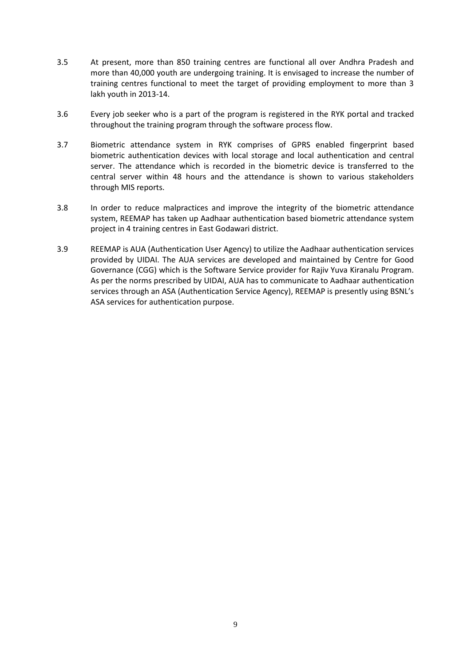- 3.5 At present, more than 850 training centres are functional all over Andhra Pradesh and more than 40,000 youth are undergoing training. It is envisaged to increase the number of training centres functional to meet the target of providing employment to more than 3 lakh youth in 2013-14.
- 3.6 Every job seeker who is a part of the program is registered in the RYK portal and tracked throughout the training program through the software process flow.
- 3.7 Biometric attendance system in RYK comprises of GPRS enabled fingerprint based biometric authentication devices with local storage and local authentication and central server. The attendance which is recorded in the biometric device is transferred to the central server within 48 hours and the attendance is shown to various stakeholders through MIS reports.
- 3.8 In order to reduce malpractices and improve the integrity of the biometric attendance system, REEMAP has taken up Aadhaar authentication based biometric attendance system project in 4 training centres in East Godawari district.
- 3.9 REEMAP is AUA (Authentication User Agency) to utilize the Aadhaar authentication services provided by UIDAI. The AUA services are developed and maintained by Centre for Good Governance (CGG) which is the Software Service provider for Rajiv Yuva Kiranalu Program. As per the norms prescribed by UIDAI, AUA has to communicate to Aadhaar authentication services through an ASA (Authentication Service Agency), REEMAP is presently using BSNL's ASA services for authentication purpose.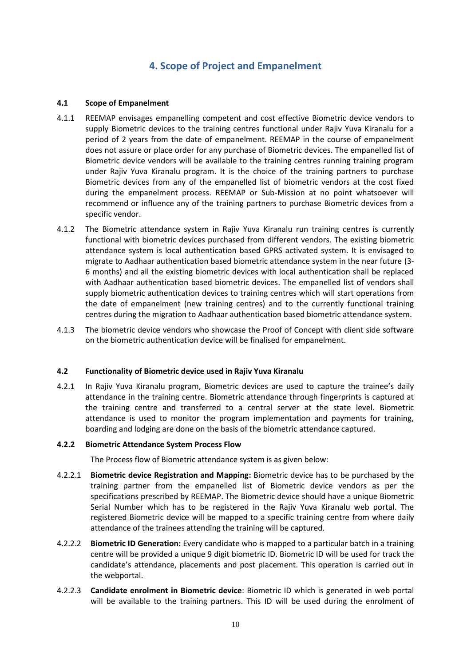# **4. Scope of Project and Empanelment**

## **4.1 Scope of Empanelment**

- 4.1.1 REEMAP envisages empanelling competent and cost effective Biometric device vendors to supply Biometric devices to the training centres functional under Rajiv Yuva Kiranalu for a period of 2 years from the date of empanelment. REEMAP in the course of empanelment does not assure or place order for any purchase of Biometric devices. The empanelled list of Biometric device vendors will be available to the training centres running training program under Rajiv Yuva Kiranalu program. It is the choice of the training partners to purchase Biometric devices from any of the empanelled list of biometric vendors at the cost fixed during the empanelment process. REEMAP or Sub-Mission at no point whatsoever will recommend or influence any of the training partners to purchase Biometric devices from a specific vendor.
- 4.1.2 The Biometric attendance system in Rajiv Yuva Kiranalu run training centres is currently functional with biometric devices purchased from different vendors. The existing biometric attendance system is local authentication based GPRS activated system. It is envisaged to migrate to Aadhaar authentication based biometric attendance system in the near future (3- 6 months) and all the existing biometric devices with local authentication shall be replaced with Aadhaar authentication based biometric devices. The empanelled list of vendors shall supply biometric authentication devices to training centres which will start operations from the date of empanelment (new training centres) and to the currently functional training centres during the migration to Aadhaar authentication based biometric attendance system.
- 4.1.3 The biometric device vendors who showcase the Proof of Concept with client side software on the biometric authentication device will be finalised for empanelment.

## **4.2 Functionality of Biometric device used in Rajiv Yuva Kiranalu**

4.2.1 In Rajiv Yuva Kiranalu program, Biometric devices are used to capture the trainee's daily attendance in the training centre. Biometric attendance through fingerprints is captured at the training centre and transferred to a central server at the state level. Biometric attendance is used to monitor the program implementation and payments for training, boarding and lodging are done on the basis of the biometric attendance captured.

## **4.2.2 Biometric Attendance System Process Flow**

The Process flow of Biometric attendance system is as given below:

- 4.2.2.1 **Biometric device Registration and Mapping:** Biometric device has to be purchased by the training partner from the empanelled list of Biometric device vendors as per the specifications prescribed by REEMAP. The Biometric device should have a unique Biometric Serial Number which has to be registered in the Rajiv Yuva Kiranalu web portal. The registered Biometric device will be mapped to a specific training centre from where daily attendance of the trainees attending the training will be captured.
- 4.2.2.2 **Biometric ID Generation:** Every candidate who is mapped to a particular batch in a training centre will be provided a unique 9 digit biometric ID. Biometric ID will be used for track the candidate's attendance, placements and post placement. This operation is carried out in the webportal.
- 4.2.2.3 **Candidate enrolment in Biometric device**: Biometric ID which is generated in web portal will be available to the training partners. This ID will be used during the enrolment of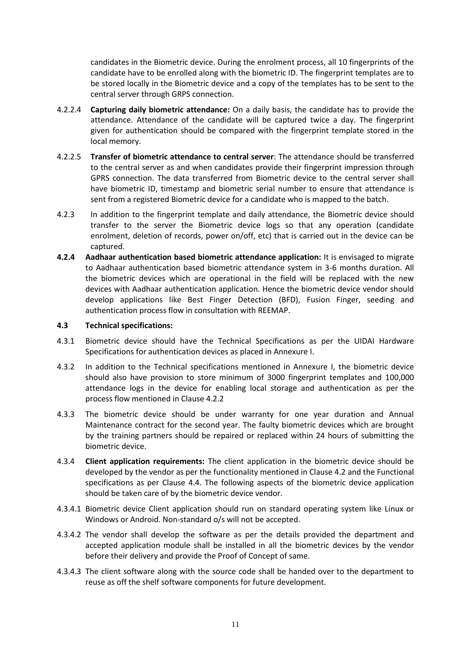candidates in the Biometric device. During the enrolment process, all 10 fingerprints of the candidate have to be enrolled along with the biometric ID. The fingerprint templates are to be stored locally in the Biometric device and a copy of the templates has to be sent to the central server through GRPS connection.

- 4.2.2.4 **Capturing daily biometric attendance:** On a daily basis, the candidate has to provide the attendance. Attendance of the candidate will be captured twice a day. The fingerprint given for authentication should be compared with the fingerprint template stored in the local memory.
- 4.2.2.5 **Transfer of biometric attendance to central server**: The attendance should be transferred to the central server as and when candidates provide their fingerprint impression through GPRS connection. The data transferred from Biometric device to the central server shall have biometric ID, timestamp and biometric serial number to ensure that attendance is sent from a registered Biometric device for a candidate who is mapped to the batch.
- 4.2.3 In addition to the fingerprint template and daily attendance, the Biometric device should transfer to the server the Biometric device logs so that any operation (candidate enrolment, deletion of records, power on/off, etc) that is carried out in the device can be captured.
- **4.2.4 Aadhaar authentication based biometric attendance application:** It is envisaged to migrate to Aadhaar authentication based biometric attendance system in 3-6 months duration. All the biometric devices which are operational in the field will be replaced with the new devices with Aadhaar authentication application. Hence the biometric device vendor should develop applications like Best Finger Detection (BFD), Fusion Finger, seeding and authentication process flow in consultation with REEMAP.

## **4.3 Technical specifications:**

- 4.3.1 Biometric device should have the Technical Specifications as per the UIDAI Hardware Specifications for authentication devices as placed in Annexure I.
- 4.3.2 In addition to the Technical specifications mentioned in Annexure I, the biometric device should also have provision to store minimum of 3000 fingerprint templates and 100,000 attendance logs in the device for enabling local storage and authentication as per the process flow mentioned in Clause 4.2.2
- 4.3.3 The biometric device should be under warranty for one year duration and Annual Maintenance contract for the second year. The faulty biometric devices which are brought by the training partners should be repaired or replaced within 24 hours of submitting the biometric device.
- 4.3.4 **Client application requirements:** The client application in the biometric device should be developed by the vendor as per the functionality mentioned in Clause 4.2 and the Functional specifications as per Clause 4.4. The following aspects of the biometric device application should be taken care of by the biometric device vendor.
- 4.3.4.1 Biometric device Client application should run on standard operating system like Linux or Windows or Android. Non-standard o/s will not be accepted.
- 4.3.4.2 The vendor shall develop the software as per the details provided the department and accepted application module shall be installed in all the biometric devices by the vendor before their delivery and provide the Proof of Concept of same.
- 4.3.4.3 The client software along with the source code shall be handed over to the department to reuse as off the shelf software components for future development.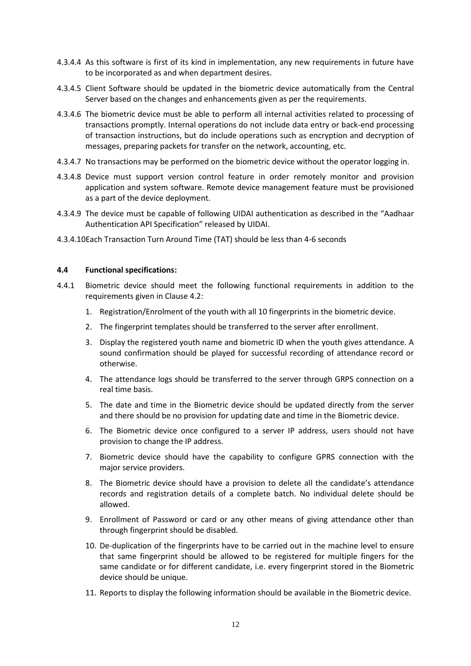- 4.3.4.4 As this software is first of its kind in implementation, any new requirements in future have to be incorporated as and when department desires.
- 4.3.4.5 Client Software should be updated in the biometric device automatically from the Central Server based on the changes and enhancements given as per the requirements.
- 4.3.4.6 The biometric device must be able to perform all internal activities related to processing of transactions promptly. Internal operations do not include data entry or back-end processing of transaction instructions, but do include operations such as encryption and decryption of messages, preparing packets for transfer on the network, accounting, etc.
- 4.3.4.7 No transactions may be performed on the biometric device without the operator logging in.
- 4.3.4.8 Device must support version control feature in order remotely monitor and provision application and system software. Remote device management feature must be provisioned as a part of the device deployment.
- 4.3.4.9 The device must be capable of following UIDAI authentication as described in the "Aadhaar Authentication API Specification" released by UIDAI.
- 4.3.4.10Each Transaction Turn Around Time (TAT) should be less than 4-6 seconds

#### **4.4 Functional specifications:**

- 4.4.1 Biometric device should meet the following functional requirements in addition to the requirements given in Clause 4.2:
	- 1. Registration/Enrolment of the youth with all 10 fingerprints in the biometric device.
	- 2. The fingerprint templates should be transferred to the server after enrollment.
	- 3. Display the registered youth name and biometric ID when the youth gives attendance. A sound confirmation should be played for successful recording of attendance record or otherwise.
	- 4. The attendance logs should be transferred to the server through GRPS connection on a real time basis.
	- 5. The date and time in the Biometric device should be updated directly from the server and there should be no provision for updating date and time in the Biometric device.
	- 6. The Biometric device once configured to a server IP address, users should not have provision to change the IP address.
	- 7. Biometric device should have the capability to configure GPRS connection with the major service providers.
	- 8. The Biometric device should have a provision to delete all the candidate's attendance records and registration details of a complete batch. No individual delete should be allowed.
	- 9. Enrollment of Password or card or any other means of giving attendance other than through fingerprint should be disabled.
	- 10. De-duplication of the fingerprints have to be carried out in the machine level to ensure that same fingerprint should be allowed to be registered for multiple fingers for the same candidate or for different candidate, i.e. every fingerprint stored in the Biometric device should be unique.
	- 11. Reports to display the following information should be available in the Biometric device.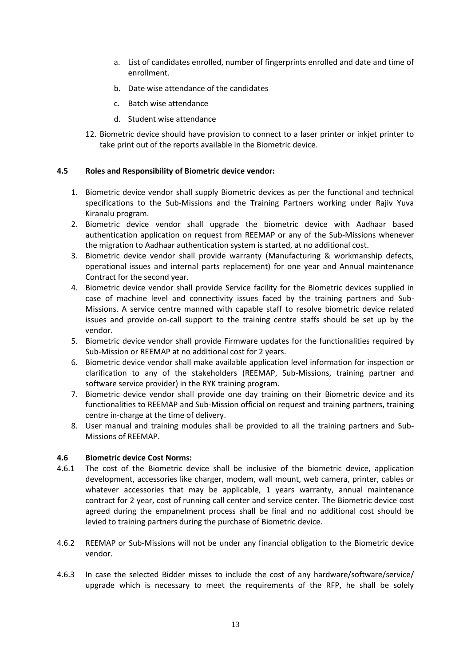- a. List of candidates enrolled, number of fingerprints enrolled and date and time of enrollment.
- b. Date wise attendance of the candidates
- c. Batch wise attendance
- d. Student wise attendance
- 12. Biometric device should have provision to connect to a laser printer or inkjet printer to take print out of the reports available in the Biometric device.

## **4.5 Roles and Responsibility of Biometric device vendor:**

- 1. Biometric device vendor shall supply Biometric devices as per the functional and technical specifications to the Sub-Missions and the Training Partners working under Rajiv Yuva Kiranalu program.
- 2. Biometric device vendor shall upgrade the biometric device with Aadhaar based authentication application on request from REEMAP or any of the Sub-Missions whenever the migration to Aadhaar authentication system is started, at no additional cost.
- 3. Biometric device vendor shall provide warranty (Manufacturing & workmanship defects, operational issues and internal parts replacement) for one year and Annual maintenance Contract for the second year.
- 4. Biometric device vendor shall provide Service facility for the Biometric devices supplied in case of machine level and connectivity issues faced by the training partners and Sub-Missions. A service centre manned with capable staff to resolve biometric device related issues and provide on-call support to the training centre staffs should be set up by the vendor.
- 5. Biometric device vendor shall provide Firmware updates for the functionalities required by Sub-Mission or REEMAP at no additional cost for 2 years.
- 6. Biometric device vendor shall make available application level information for inspection or clarification to any of the stakeholders (REEMAP, Sub-Missions, training partner and software service provider) in the RYK training program.
- 7. Biometric device vendor shall provide one day training on their Biometric device and its functionalities to REEMAP and Sub-Mission official on request and training partners, training centre in-charge at the time of delivery.
- 8. User manual and training modules shall be provided to all the training partners and Sub-Missions of REEMAP.

## **4.6 Biometric device Cost Norms:**

- 4.6.1 The cost of the Biometric device shall be inclusive of the biometric device, application development, accessories like charger, modem, wall mount, web camera, printer, cables or whatever accessories that may be applicable, 1 years warranty, annual maintenance contract for 2 year, cost of running call center and service center. The Biometric device cost agreed during the empanelment process shall be final and no additional cost should be levied to training partners during the purchase of Biometric device.
- 4.6.2 REEMAP or Sub-Missions will not be under any financial obligation to the Biometric device vendor.
- 4.6.3 In case the selected Bidder misses to include the cost of any hardware/software/service/ upgrade which is necessary to meet the requirements of the RFP, he shall be solely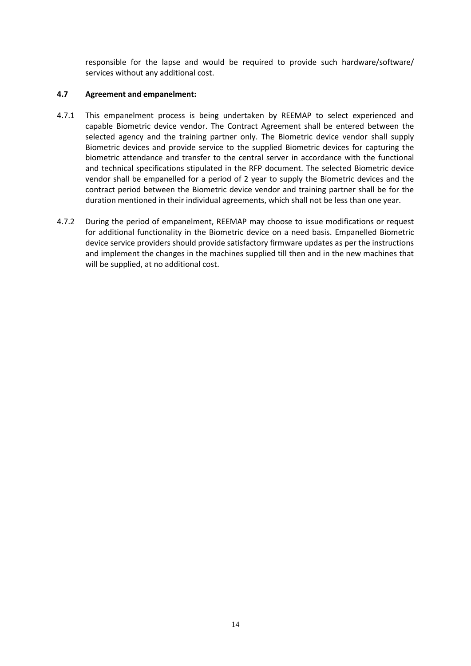responsible for the lapse and would be required to provide such hardware/software/ services without any additional cost.

## **4.7 Agreement and empanelment:**

- 4.7.1 This empanelment process is being undertaken by REEMAP to select experienced and capable Biometric device vendor. The Contract Agreement shall be entered between the selected agency and the training partner only. The Biometric device vendor shall supply Biometric devices and provide service to the supplied Biometric devices for capturing the biometric attendance and transfer to the central server in accordance with the functional and technical specifications stipulated in the RFP document. The selected Biometric device vendor shall be empanelled for a period of 2 year to supply the Biometric devices and the contract period between the Biometric device vendor and training partner shall be for the duration mentioned in their individual agreements, which shall not be less than one year.
- 4.7.2 During the period of empanelment, REEMAP may choose to issue modifications or request for additional functionality in the Biometric device on a need basis. Empanelled Biometric device service providers should provide satisfactory firmware updates as per the instructions and implement the changes in the machines supplied till then and in the new machines that will be supplied, at no additional cost.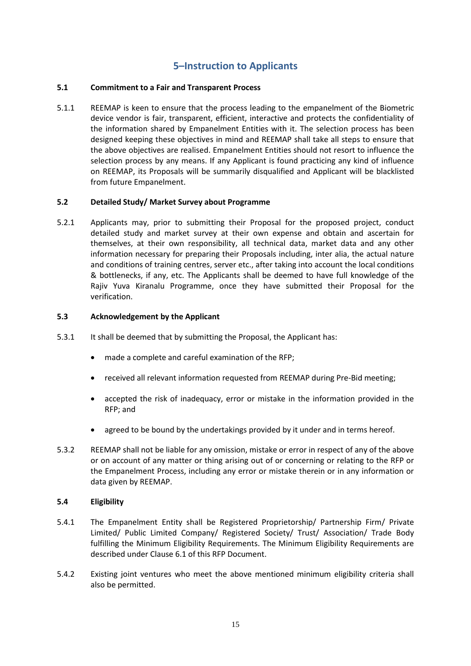# **5–Instruction to Applicants**

## **5.1 Commitment to a Fair and Transparent Process**

5.1.1 REEMAP is keen to ensure that the process leading to the empanelment of the Biometric device vendor is fair, transparent, efficient, interactive and protects the confidentiality of the information shared by Empanelment Entities with it. The selection process has been designed keeping these objectives in mind and REEMAP shall take all steps to ensure that the above objectives are realised. Empanelment Entities should not resort to influence the selection process by any means. If any Applicant is found practicing any kind of influence on REEMAP, its Proposals will be summarily disqualified and Applicant will be blacklisted from future Empanelment.

## **5.2 Detailed Study/ Market Survey about Programme**

5.2.1 Applicants may, prior to submitting their Proposal for the proposed project, conduct detailed study and market survey at their own expense and obtain and ascertain for themselves, at their own responsibility, all technical data, market data and any other information necessary for preparing their Proposals including, inter alia, the actual nature and conditions of training centres, server etc., after taking into account the local conditions & bottlenecks, if any, etc. The Applicants shall be deemed to have full knowledge of the Rajiv Yuva Kiranalu Programme, once they have submitted their Proposal for the verification.

## **5.3 Acknowledgement by the Applicant**

- 5.3.1 It shall be deemed that by submitting the Proposal, the Applicant has:
	- made a complete and careful examination of the RFP;
	- received all relevant information requested from REEMAP during Pre-Bid meeting;
	- accepted the risk of inadequacy, error or mistake in the information provided in the RFP; and
	- agreed to be bound by the undertakings provided by it under and in terms hereof.
- 5.3.2 REEMAP shall not be liable for any omission, mistake or error in respect of any of the above or on account of any matter or thing arising out of or concerning or relating to the RFP or the Empanelment Process, including any error or mistake therein or in any information or data given by REEMAP.

## **5.4 Eligibility**

- 5.4.1 The Empanelment Entity shall be Registered Proprietorship/ Partnership Firm/ Private Limited/ Public Limited Company/ Registered Society/ Trust/ Association/ Trade Body fulfilling the Minimum Eligibility Requirements. The Minimum Eligibility Requirements are described under Clause 6.1 of this RFP Document.
- 5.4.2 Existing joint ventures who meet the above mentioned minimum eligibility criteria shall also be permitted.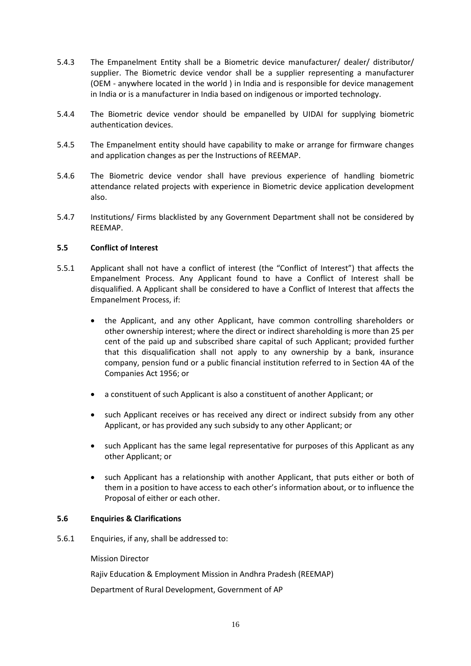- 5.4.3 The Empanelment Entity shall be a Biometric device manufacturer/ dealer/ distributor/ supplier. The Biometric device vendor shall be a supplier representing a manufacturer (OEM - anywhere located in the world ) in India and is responsible for device management in India or is a manufacturer in India based on indigenous or imported technology.
- 5.4.4 The Biometric device vendor should be empanelled by UIDAI for supplying biometric authentication devices.
- 5.4.5 The Empanelment entity should have capability to make or arrange for firmware changes and application changes as per the Instructions of REEMAP.
- 5.4.6 The Biometric device vendor shall have previous experience of handling biometric attendance related projects with experience in Biometric device application development also.
- 5.4.7 Institutions/ Firms blacklisted by any Government Department shall not be considered by REEMAP.

## **5.5 Conflict of Interest**

- 5.5.1 Applicant shall not have a conflict of interest (the "Conflict of Interest") that affects the Empanelment Process. Any Applicant found to have a Conflict of Interest shall be disqualified. A Applicant shall be considered to have a Conflict of Interest that affects the Empanelment Process, if:
	- the Applicant, and any other Applicant, have common controlling shareholders or other ownership interest; where the direct or indirect shareholding is more than 25 per cent of the paid up and subscribed share capital of such Applicant; provided further that this disqualification shall not apply to any ownership by a bank, insurance company, pension fund or a public financial institution referred to in Section 4A of the Companies Act 1956; or
	- a constituent of such Applicant is also a constituent of another Applicant; or
	- such Applicant receives or has received any direct or indirect subsidy from any other Applicant, or has provided any such subsidy to any other Applicant; or
	- such Applicant has the same legal representative for purposes of this Applicant as any other Applicant; or
	- such Applicant has a relationship with another Applicant, that puts either or both of them in a position to have access to each other's information about, or to influence the Proposal of either or each other.

#### **5.6 Enquiries & Clarifications**

5.6.1 Enquiries, if any, shall be addressed to:

Mission Director

Rajiv Education & Employment Mission in Andhra Pradesh (REEMAP)

Department of Rural Development, Government of AP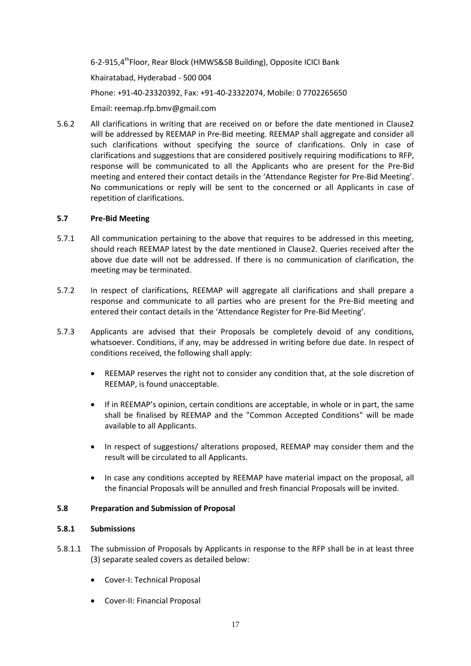6-2-915,4<sup>th</sup>Floor, Rear Block (HMWS&SB Building), Opposite ICICI Bank Khairatabad, Hyderabad - 500 004 Phone: +91-40-23320392, Fax: +91-40-23322074, Mobile: 0 7702265650 Email: reemap.rfp.bmv@gmail.com

5.6.2 All clarifications in writing that are received on or before the date mentioned in Clause2 will be addressed by REEMAP in Pre-Bid meeting. REEMAP shall aggregate and consider all such clarifications without specifying the source of clarifications. Only in case of clarifications and suggestions that are considered positively requiring modifications to RFP, response will be communicated to all the Applicants who are present for the Pre-Bid meeting and entered their contact details in the 'Attendance Register for Pre-Bid Meeting'. No communications or reply will be sent to the concerned or all Applicants in case of repetition of clarifications.

## **5.7 Pre-Bid Meeting**

- 5.7.1 All communication pertaining to the above that requires to be addressed in this meeting, should reach REEMAP latest by the date mentioned in Clause2. Queries received after the above due date will not be addressed. If there is no communication of clarification, the meeting may be terminated.
- 5.7.2 In respect of clarifications, REEMAP will aggregate all clarifications and shall prepare a response and communicate to all parties who are present for the Pre-Bid meeting and entered their contact details in the 'Attendance Register for Pre-Bid Meeting'.
- 5.7.3 Applicants are advised that their Proposals be completely devoid of any conditions, whatsoever. Conditions, if any, may be addressed in writing before due date. In respect of conditions received, the following shall apply:
	- REEMAP reserves the right not to consider any condition that, at the sole discretion of REEMAP, is found unacceptable.
	- If in REEMAP's opinion, certain conditions are acceptable, in whole or in part, the same shall be finalised by REEMAP and the "Common Accepted Conditions" will be made available to all Applicants.
	- In respect of suggestions/ alterations proposed, REEMAP may consider them and the result will be circulated to all Applicants.
	- In case any conditions accepted by REEMAP have material impact on the proposal, all the financial Proposals will be annulled and fresh financial Proposals will be invited.

## **5.8 Preparation and Submission of Proposal**

## **5.8.1 Submissions**

- 5.8.1.1 The submission of Proposals by Applicants in response to the RFP shall be in at least three (3) separate sealed covers as detailed below:
	- Cover-I: Technical Proposal
	- Cover-II: Financial Proposal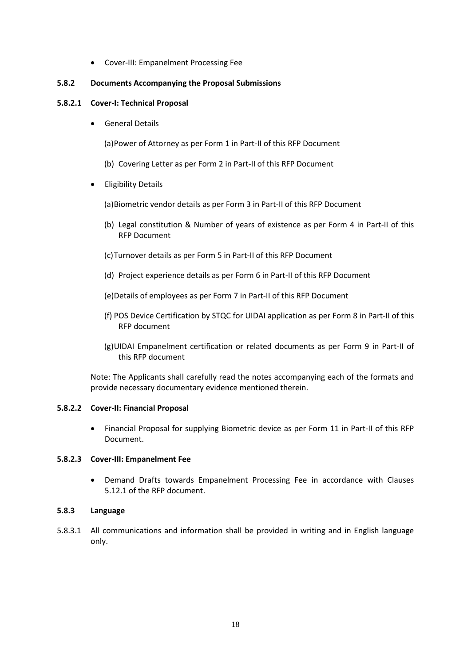Cover-III: Empanelment Processing Fee

## **5.8.2 Documents Accompanying the Proposal Submissions**

## **5.8.2.1 Cover-I: Technical Proposal**

**•** General Details

(a)Power of Attorney as per Form 1 in Part-II of this RFP Document

- (b) Covering Letter as per Form 2 in Part-II of this RFP Document
- **•** Eligibility Details

(a)Biometric vendor details as per Form 3 in Part-II of this RFP Document

- (b) Legal constitution & Number of years of existence as per Form 4 in Part-II of this RFP Document
- (c)Turnover details as per Form 5 in Part-II of this RFP Document
- (d) Project experience details as per Form 6 in Part-II of this RFP Document
- (e)Details of employees as per Form 7 in Part-II of this RFP Document
- (f) POS Device Certification by STQC for UIDAI application as per Form 8 in Part-II of this RFP document
- (g)UIDAI Empanelment certification or related documents as per Form 9 in Part-II of this RFP document

Note: The Applicants shall carefully read the notes accompanying each of the formats and provide necessary documentary evidence mentioned therein.

## **5.8.2.2 Cover-II: Financial Proposal**

 Financial Proposal for supplying Biometric device as per Form 11 in Part-II of this RFP Document.

## **5.8.2.3 Cover-III: Empanelment Fee**

 Demand Drafts towards Empanelment Processing Fee in accordance with Clauses 5.12.1 of the RFP document.

## **5.8.3 Language**

5.8.3.1 All communications and information shall be provided in writing and in English language only.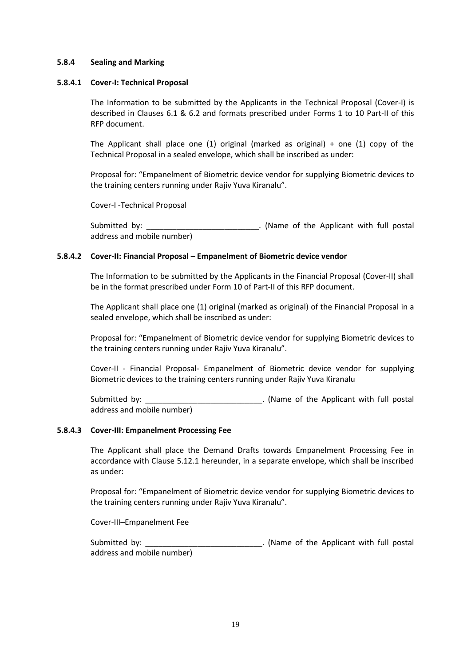#### **5.8.4 Sealing and Marking**

#### **5.8.4.1 Cover-I: Technical Proposal**

The Information to be submitted by the Applicants in the Technical Proposal (Cover-I) is described in Clauses 6.1 & 6.2 and formats prescribed under Forms 1 to 10 Part-II of this RFP document.

The Applicant shall place one  $(1)$  original (marked as original) + one  $(1)$  copy of the Technical Proposal in a sealed envelope, which shall be inscribed as under:

Proposal for: "Empanelment of Biometric device vendor for supplying Biometric devices to the training centers running under Rajiv Yuva Kiranalu".

Cover-I -Technical Proposal

Submitted by: \_\_\_\_\_\_\_\_\_\_\_\_\_\_\_\_\_\_\_\_\_\_\_\_\_\_\_\_\_. (Name of the Applicant with full postal address and mobile number)

## **5.8.4.2 Cover-II: Financial Proposal – Empanelment of Biometric device vendor**

The Information to be submitted by the Applicants in the Financial Proposal (Cover-II) shall be in the format prescribed under Form 10 of Part-II of this RFP document.

The Applicant shall place one (1) original (marked as original) of the Financial Proposal in a sealed envelope, which shall be inscribed as under:

Proposal for: "Empanelment of Biometric device vendor for supplying Biometric devices to the training centers running under Rajiv Yuva Kiranalu".

Cover-II - Financial Proposal- Empanelment of Biometric device vendor for supplying Biometric devices to the training centers running under Rajiv Yuva Kiranalu

Submitted by: \_\_\_\_\_\_\_\_\_\_\_\_\_\_\_\_\_\_\_\_\_\_\_\_\_\_\_. (Name of the Applicant with full postal address and mobile number)

## **5.8.4.3 Cover-III: Empanelment Processing Fee**

The Applicant shall place the Demand Drafts towards Empanelment Processing Fee in accordance with Clause 5.12.1 hereunder, in a separate envelope, which shall be inscribed as under:

Proposal for: "Empanelment of Biometric device vendor for supplying Biometric devices to the training centers running under Rajiv Yuva Kiranalu".

Cover-III–Empanelment Fee

Submitted by: The Submitted by: the Applicant with full postal address and mobile number)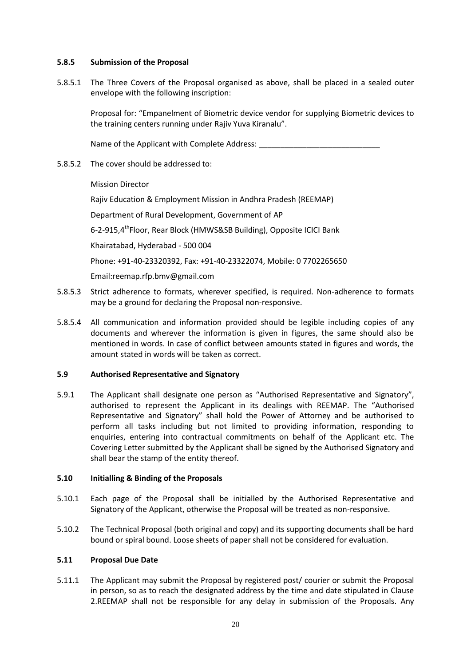## **5.8.5 Submission of the Proposal**

5.8.5.1 The Three Covers of the Proposal organised as above, shall be placed in a sealed outer envelope with the following inscription:

Proposal for: "Empanelment of Biometric device vendor for supplying Biometric devices to the training centers running under Rajiv Yuva Kiranalu".

Name of the Applicant with Complete Address:

## 5.8.5.2 The cover should be addressed to:

Mission Director

Rajiv Education & Employment Mission in Andhra Pradesh (REEMAP)

Department of Rural Development, Government of AP

6-2-915,4<sup>th</sup>Floor, Rear Block (HMWS&SB Building), Opposite ICICI Bank

Khairatabad, Hyderabad - 500 004

Phone: +91-40-23320392, Fax: +91-40-23322074, Mobile: 0 7702265650

Email:reemap.rfp.bmv@gmail.com

- 5.8.5.3 Strict adherence to formats, wherever specified, is required. Non-adherence to formats may be a ground for declaring the Proposal non-responsive.
- 5.8.5.4 All communication and information provided should be legible including copies of any documents and wherever the information is given in figures, the same should also be mentioned in words. In case of conflict between amounts stated in figures and words, the amount stated in words will be taken as correct.

## **5.9 Authorised Representative and Signatory**

5.9.1 The Applicant shall designate one person as "Authorised Representative and Signatory", authorised to represent the Applicant in its dealings with REEMAP. The "Authorised Representative and Signatory" shall hold the Power of Attorney and be authorised to perform all tasks including but not limited to providing information, responding to enquiries, entering into contractual commitments on behalf of the Applicant etc. The Covering Letter submitted by the Applicant shall be signed by the Authorised Signatory and shall bear the stamp of the entity thereof.

## **5.10 Initialling & Binding of the Proposals**

- 5.10.1 Each page of the Proposal shall be initialled by the Authorised Representative and Signatory of the Applicant, otherwise the Proposal will be treated as non-responsive.
- 5.10.2 The Technical Proposal (both original and copy) and its supporting documents shall be hard bound or spiral bound. Loose sheets of paper shall not be considered for evaluation.

## **5.11 Proposal Due Date**

5.11.1 The Applicant may submit the Proposal by registered post/ courier or submit the Proposal in person, so as to reach the designated address by the time and date stipulated in Clause 2.REEMAP shall not be responsible for any delay in submission of the Proposals. Any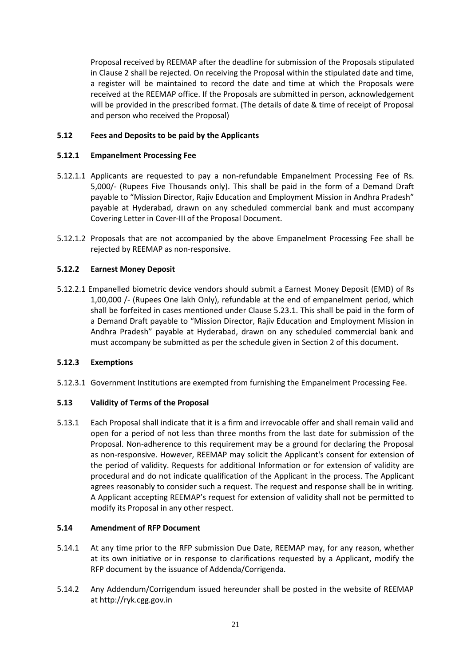Proposal received by REEMAP after the deadline for submission of the Proposals stipulated in Clause 2 shall be rejected. On receiving the Proposal within the stipulated date and time, a register will be maintained to record the date and time at which the Proposals were received at the REEMAP office. If the Proposals are submitted in person, acknowledgement will be provided in the prescribed format. (The details of date & time of receipt of Proposal and person who received the Proposal)

## **5.12 Fees and Deposits to be paid by the Applicants**

## **5.12.1 Empanelment Processing Fee**

- 5.12.1.1 Applicants are requested to pay a non-refundable Empanelment Processing Fee of Rs. 5,000/- (Rupees Five Thousands only). This shall be paid in the form of a Demand Draft payable to "Mission Director, Rajiv Education and Employment Mission in Andhra Pradesh" payable at Hyderabad, drawn on any scheduled commercial bank and must accompany Covering Letter in Cover-III of the Proposal Document.
- 5.12.1.2 Proposals that are not accompanied by the above Empanelment Processing Fee shall be rejected by REEMAP as non-responsive.

## **5.12.2 Earnest Money Deposit**

5.12.2.1 Empanelled biometric device vendors should submit a Earnest Money Deposit (EMD) of Rs 1,00,000 /- (Rupees One lakh Only), refundable at the end of empanelment period, which shall be forfeited in cases mentioned under Clause 5.23.1. This shall be paid in the form of a Demand Draft payable to "Mission Director, Rajiv Education and Employment Mission in Andhra Pradesh" payable at Hyderabad, drawn on any scheduled commercial bank and must accompany be submitted as per the schedule given in Section 2 of this document.

## **5.12.3 Exemptions**

5.12.3.1 Government Institutions are exempted from furnishing the Empanelment Processing Fee.

## **5.13 Validity of Terms of the Proposal**

5.13.1 Each Proposal shall indicate that it is a firm and irrevocable offer and shall remain valid and open for a period of not less than three months from the last date for submission of the Proposal. Non-adherence to this requirement may be a ground for declaring the Proposal as non-responsive. However, REEMAP may solicit the Applicant's consent for extension of the period of validity. Requests for additional Information or for extension of validity are procedural and do not indicate qualification of the Applicant in the process. The Applicant agrees reasonably to consider such a request. The request and response shall be in writing. A Applicant accepting REEMAP's request for extension of validity shall not be permitted to modify its Proposal in any other respect.

## **5.14 Amendment of RFP Document**

- 5.14.1 At any time prior to the RFP submission Due Date, REEMAP may, for any reason, whether at its own initiative or in response to clarifications requested by a Applicant, modify the RFP document by the issuance of Addenda/Corrigenda.
- 5.14.2 Any Addendum/Corrigendum issued hereunder shall be posted in the website of REEMAP at http://ryk.cgg.gov.in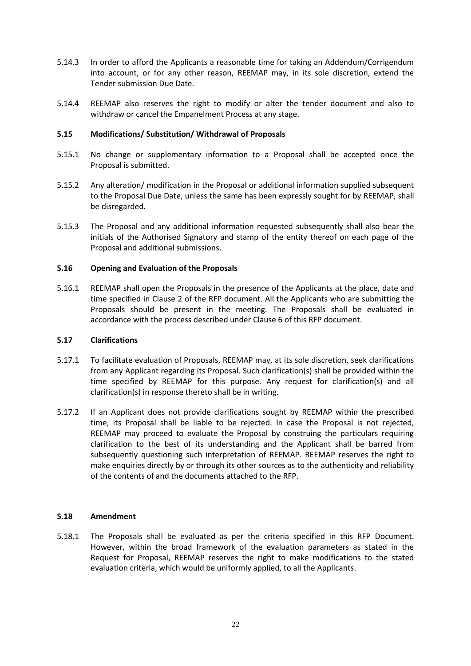- 5.14.3 In order to afford the Applicants a reasonable time for taking an Addendum/Corrigendum into account, or for any other reason, REEMAP may, in its sole discretion, extend the Tender submission Due Date.
- 5.14.4 REEMAP also reserves the right to modify or alter the tender document and also to withdraw or cancel the Empanelment Process at any stage.

## **5.15 Modifications/ Substitution/ Withdrawal of Proposals**

- 5.15.1 No change or supplementary information to a Proposal shall be accepted once the Proposal is submitted.
- 5.15.2 Any alteration/ modification in the Proposal or additional information supplied subsequent to the Proposal Due Date, unless the same has been expressly sought for by REEMAP, shall be disregarded.
- 5.15.3 The Proposal and any additional information requested subsequently shall also bear the initials of the Authorised Signatory and stamp of the entity thereof on each page of the Proposal and additional submissions.

## **5.16 Opening and Evaluation of the Proposals**

5.16.1 REEMAP shall open the Proposals in the presence of the Applicants at the place, date and time specified in Clause 2 of the RFP document. All the Applicants who are submitting the Proposals should be present in the meeting. The Proposals shall be evaluated in accordance with the process described under Clause 6 of this RFP document.

## **5.17 Clarifications**

- 5.17.1 To facilitate evaluation of Proposals, REEMAP may, at its sole discretion, seek clarifications from any Applicant regarding its Proposal. Such clarification(s) shall be provided within the time specified by REEMAP for this purpose. Any request for clarification(s) and all clarification(s) in response thereto shall be in writing.
- 5.17.2 If an Applicant does not provide clarifications sought by REEMAP within the prescribed time, its Proposal shall be liable to be rejected. In case the Proposal is not rejected, REEMAP may proceed to evaluate the Proposal by construing the particulars requiring clarification to the best of its understanding and the Applicant shall be barred from subsequently questioning such interpretation of REEMAP. REEMAP reserves the right to make enquiries directly by or through its other sources as to the authenticity and reliability of the contents of and the documents attached to the RFP.

## **5.18 Amendment**

5.18.1 The Proposals shall be evaluated as per the criteria specified in this RFP Document. However, within the broad framework of the evaluation parameters as stated in the Request for Proposal, REEMAP reserves the right to make modifications to the stated evaluation criteria, which would be uniformly applied, to all the Applicants.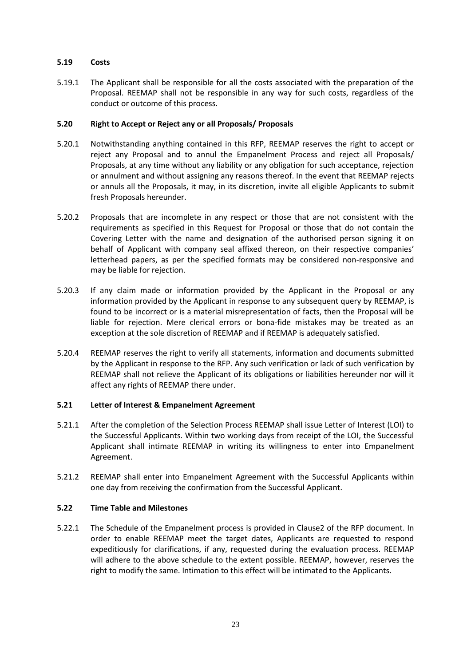## **5.19 Costs**

5.19.1 The Applicant shall be responsible for all the costs associated with the preparation of the Proposal. REEMAP shall not be responsible in any way for such costs, regardless of the conduct or outcome of this process.

## **5.20 Right to Accept or Reject any or all Proposals/ Proposals**

- 5.20.1 Notwithstanding anything contained in this RFP, REEMAP reserves the right to accept or reject any Proposal and to annul the Empanelment Process and reject all Proposals/ Proposals, at any time without any liability or any obligation for such acceptance, rejection or annulment and without assigning any reasons thereof. In the event that REEMAP rejects or annuls all the Proposals, it may, in its discretion, invite all eligible Applicants to submit fresh Proposals hereunder.
- 5.20.2 Proposals that are incomplete in any respect or those that are not consistent with the requirements as specified in this Request for Proposal or those that do not contain the Covering Letter with the name and designation of the authorised person signing it on behalf of Applicant with company seal affixed thereon, on their respective companies' letterhead papers, as per the specified formats may be considered non-responsive and may be liable for rejection.
- 5.20.3 If any claim made or information provided by the Applicant in the Proposal or any information provided by the Applicant in response to any subsequent query by REEMAP, is found to be incorrect or is a material misrepresentation of facts, then the Proposal will be liable for rejection. Mere clerical errors or bona-fide mistakes may be treated as an exception at the sole discretion of REEMAP and if REEMAP is adequately satisfied.
- 5.20.4 REEMAP reserves the right to verify all statements, information and documents submitted by the Applicant in response to the RFP. Any such verification or lack of such verification by REEMAP shall not relieve the Applicant of its obligations or liabilities hereunder nor will it affect any rights of REEMAP there under.

## **5.21 Letter of Interest & Empanelment Agreement**

- 5.21.1 After the completion of the Selection Process REEMAP shall issue Letter of Interest (LOI) to the Successful Applicants. Within two working days from receipt of the LOI, the Successful Applicant shall intimate REEMAP in writing its willingness to enter into Empanelment Agreement.
- 5.21.2 REEMAP shall enter into Empanelment Agreement with the Successful Applicants within one day from receiving the confirmation from the Successful Applicant.

## **5.22 Time Table and Milestones**

5.22.1 The Schedule of the Empanelment process is provided in Clause2 of the RFP document. In order to enable REEMAP meet the target dates, Applicants are requested to respond expeditiously for clarifications, if any, requested during the evaluation process. REEMAP will adhere to the above schedule to the extent possible. REEMAP, however, reserves the right to modify the same. Intimation to this effect will be intimated to the Applicants.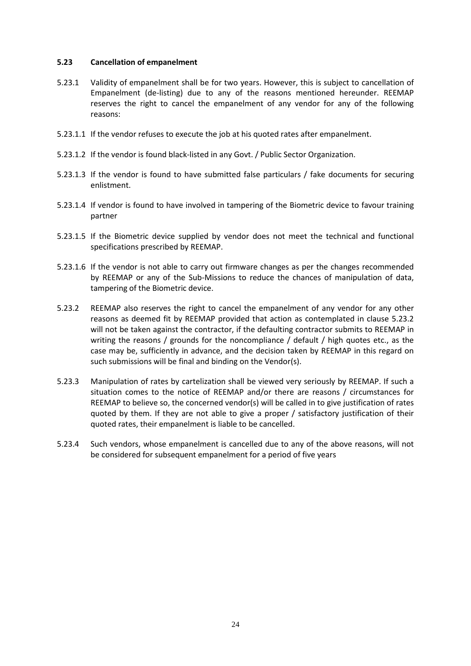## **5.23 Cancellation of empanelment**

- 5.23.1 Validity of empanelment shall be for two years. However, this is subject to cancellation of Empanelment (de-listing) due to any of the reasons mentioned hereunder. REEMAP reserves the right to cancel the empanelment of any vendor for any of the following reasons:
- 5.23.1.1 If the vendor refuses to execute the job at his quoted rates after empanelment.
- 5.23.1.2 If the vendor is found black-listed in any Govt. / Public Sector Organization.
- 5.23.1.3 If the vendor is found to have submitted false particulars / fake documents for securing enlistment.
- 5.23.1.4 If vendor is found to have involved in tampering of the Biometric device to favour training partner
- 5.23.1.5 If the Biometric device supplied by vendor does not meet the technical and functional specifications prescribed by REEMAP.
- 5.23.1.6 If the vendor is not able to carry out firmware changes as per the changes recommended by REEMAP or any of the Sub-Missions to reduce the chances of manipulation of data, tampering of the Biometric device.
- 5.23.2 REEMAP also reserves the right to cancel the empanelment of any vendor for any other reasons as deemed fit by REEMAP provided that action as contemplated in clause 5.23.2 will not be taken against the contractor, if the defaulting contractor submits to REEMAP in writing the reasons / grounds for the noncompliance / default / high quotes etc., as the case may be, sufficiently in advance, and the decision taken by REEMAP in this regard on such submissions will be final and binding on the Vendor(s).
- 5.23.3 Manipulation of rates by cartelization shall be viewed very seriously by REEMAP. If such a situation comes to the notice of REEMAP and/or there are reasons / circumstances for REEMAP to believe so, the concerned vendor(s) will be called in to give justification of rates quoted by them. If they are not able to give a proper / satisfactory justification of their quoted rates, their empanelment is liable to be cancelled.
- 5.23.4 Such vendors, whose empanelment is cancelled due to any of the above reasons, will not be considered for subsequent empanelment for a period of five years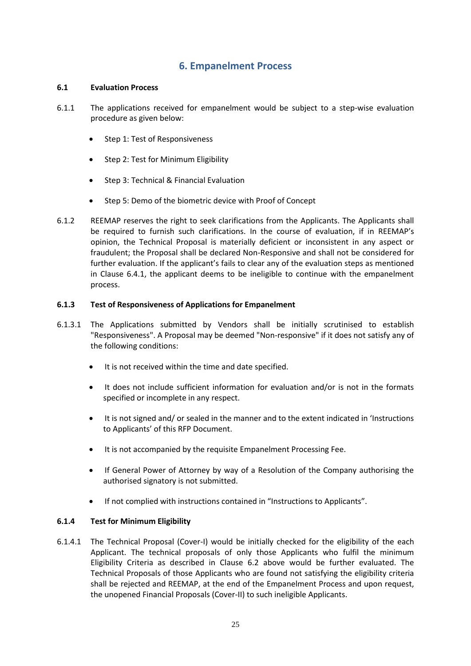## **6. Empanelment Process**

## **6.1 Evaluation Process**

- 6.1.1 The applications received for empanelment would be subject to a step-wise evaluation procedure as given below:
	- Step 1: Test of Responsiveness
	- Step 2: Test for Minimum Eligibility
	- Step 3: Technical & Financial Evaluation
	- Step 5: Demo of the biometric device with Proof of Concept
- 6.1.2 REEMAP reserves the right to seek clarifications from the Applicants. The Applicants shall be required to furnish such clarifications. In the course of evaluation, if in REEMAP's opinion, the Technical Proposal is materially deficient or inconsistent in any aspect or fraudulent; the Proposal shall be declared Non-Responsive and shall not be considered for further evaluation. If the applicant's fails to clear any of the evaluation steps as mentioned in Clause 6.4.1, the applicant deems to be ineligible to continue with the empanelment process.

## **6.1.3 Test of Responsiveness of Applications for Empanelment**

- 6.1.3.1 The Applications submitted by Vendors shall be initially scrutinised to establish "Responsiveness". A Proposal may be deemed "Non-responsive" if it does not satisfy any of the following conditions:
	- It is not received within the time and date specified.
	- It does not include sufficient information for evaluation and/or is not in the formats specified or incomplete in any respect.
	- It is not signed and/ or sealed in the manner and to the extent indicated in 'Instructions to Applicants' of this RFP Document.
	- It is not accompanied by the requisite Empanelment Processing Fee.
	- If General Power of Attorney by way of a Resolution of the Company authorising the authorised signatory is not submitted.
	- If not complied with instructions contained in "Instructions to Applicants".

## **6.1.4 Test for Minimum Eligibility**

6.1.4.1 The Technical Proposal (Cover-I) would be initially checked for the eligibility of the each Applicant. The technical proposals of only those Applicants who fulfil the minimum Eligibility Criteria as described in Clause 6.2 above would be further evaluated. The Technical Proposals of those Applicants who are found not satisfying the eligibility criteria shall be rejected and REEMAP, at the end of the Empanelment Process and upon request, the unopened Financial Proposals (Cover-II) to such ineligible Applicants.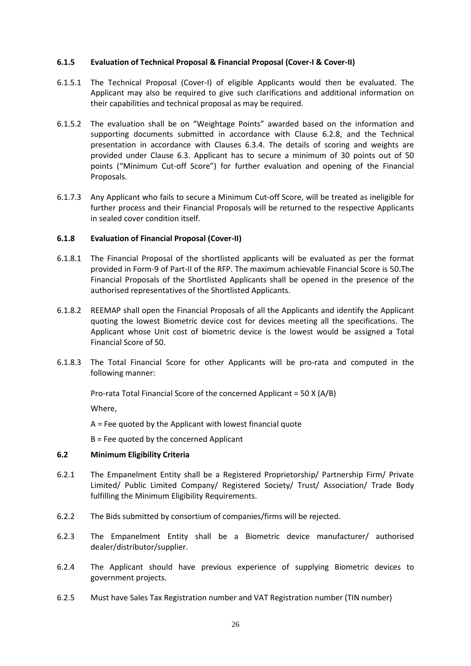## **6.1.5 Evaluation of Technical Proposal & Financial Proposal (Cover-I & Cover-II)**

- 6.1.5.1 The Technical Proposal (Cover-I) of eligible Applicants would then be evaluated. The Applicant may also be required to give such clarifications and additional information on their capabilities and technical proposal as may be required.
- 6.1.5.2 The evaluation shall be on "Weightage Points" awarded based on the information and supporting documents submitted in accordance with Clause 6.2.8, and the Technical presentation in accordance with Clauses 6.3.4. The details of scoring and weights are provided under Clause 6.3. Applicant has to secure a minimum of 30 points out of 50 points ("Minimum Cut-off Score") for further evaluation and opening of the Financial Proposals.
- 6.1.7.3 Any Applicant who fails to secure a Minimum Cut-off Score, will be treated as ineligible for further process and their Financial Proposals will be returned to the respective Applicants in sealed cover condition itself.

#### **6.1.8 Evaluation of Financial Proposal (Cover-II)**

- 6.1.8.1 The Financial Proposal of the shortlisted applicants will be evaluated as per the format provided in Form-9 of Part-II of the RFP. The maximum achievable Financial Score is 50.The Financial Proposals of the Shortlisted Applicants shall be opened in the presence of the authorised representatives of the Shortlisted Applicants.
- 6.1.8.2 REEMAP shall open the Financial Proposals of all the Applicants and identify the Applicant quoting the lowest Biometric device cost for devices meeting all the specifications. The Applicant whose Unit cost of biometric device is the lowest would be assigned a Total Financial Score of 50.
- 6.1.8.3 The Total Financial Score for other Applicants will be pro-rata and computed in the following manner:

Pro-rata Total Financial Score of the concerned Applicant = 50 X (A/B)

Where,

A = Fee quoted by the Applicant with lowest financial quote

B = Fee quoted by the concerned Applicant

#### **6.2 Minimum Eligibility Criteria**

- 6.2.1 The Empanelment Entity shall be a Registered Proprietorship/ Partnership Firm/ Private Limited/ Public Limited Company/ Registered Society/ Trust/ Association/ Trade Body fulfilling the Minimum Eligibility Requirements.
- 6.2.2 The Bids submitted by consortium of companies/firms will be rejected.
- 6.2.3 The Empanelment Entity shall be a Biometric device manufacturer/ authorised dealer/distributor/supplier.
- 6.2.4 The Applicant should have previous experience of supplying Biometric devices to government projects.
- 6.2.5 Must have Sales Tax Registration number and VAT Registration number (TIN number)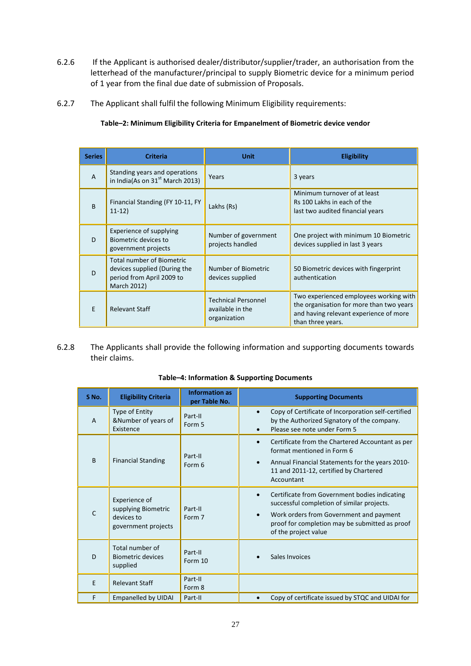- 6.2.6 If the Applicant is authorised dealer/distributor/supplier/trader, an authorisation from the letterhead of the manufacturer/principal to supply Biometric device for a minimum period of 1 year from the final due date of submission of Proposals.
- 6.2.7 The Applicant shall fulfil the following Minimum Eligibility requirements:

| <b>Series</b>  | <b>Criteria</b>                                                                                              | <b>Unit</b>                                                    | <b>Eligibility</b>                                                                                                                                |
|----------------|--------------------------------------------------------------------------------------------------------------|----------------------------------------------------------------|---------------------------------------------------------------------------------------------------------------------------------------------------|
| $\overline{A}$ | Standing years and operations<br>in India(As on $31st$ March 2013)                                           | Years                                                          | 3 years                                                                                                                                           |
| <sub>B</sub>   | Financial Standing (FY 10-11, FY<br>$11-12)$                                                                 | Lakhs (Rs)                                                     | Minimum turnover of at least<br>Rs 100 Lakhs in each of the<br>last two audited financial years                                                   |
| D              | Experience of supplying<br>Biometric devices to<br>government projects                                       | Number of government<br>projects handled                       | One project with minimum 10 Biometric<br>devices supplied in last 3 years                                                                         |
| D              | <b>Total number of Biometric</b><br>devices supplied (During the<br>period from April 2009 to<br>March 2012) | Number of Biometric<br>devices supplied                        | 50 Biometric devices with fingerprint<br>authentication                                                                                           |
| E              | <b>Relevant Staff</b>                                                                                        | <b>Technical Personnel</b><br>available in the<br>organization | Two experienced employees working with<br>the organisation for more than two years<br>and having relevant experience of more<br>than three years. |

## **Table–2: Minimum Eligibility Criteria for Empanelment of Biometric device vendor**

#### 6.2.8 The Applicants shall provide the following information and supporting documents towards their claims.

| S <sub>No.</sub> | <b>Eligibility Criteria</b>                                               | <b>Information as</b><br>per Table No. | <b>Supporting Documents</b>                                                                                                                                                                                                                |
|------------------|---------------------------------------------------------------------------|----------------------------------------|--------------------------------------------------------------------------------------------------------------------------------------------------------------------------------------------------------------------------------------------|
| A                | Type of Entity<br>&Number of years of<br>Existence                        | Part-II<br>Form 5                      | Copy of Certificate of Incorporation self-certified<br>$\bullet$<br>by the Authorized Signatory of the company.<br>Please see note under Form 5<br>$\bullet$                                                                               |
| <sub>R</sub>     | <b>Financial Standing</b>                                                 | Part-II<br>Form 6                      | Certificate from the Chartered Accountant as per<br>$\bullet$<br>format mentioned in Form 6<br>Annual Financial Statements for the years 2010-<br>$\bullet$<br>11 and 2011-12, certified by Chartered<br>Accountant                        |
|                  | Experience of<br>supplying Biometric<br>devices to<br>government projects | Part-II<br>Form 7                      | Certificate from Government bodies indicating<br>$\bullet$<br>successful completion of similar projects.<br>Work orders from Government and payment<br>$\bullet$<br>proof for completion may be submitted as proof<br>of the project value |
| D                | Total number of<br><b>Biometric devices</b><br>supplied                   | Part-II<br>Form 10                     | Sales Invoices                                                                                                                                                                                                                             |
| F                | <b>Relevant Staff</b>                                                     | Part-II<br>Form 8                      |                                                                                                                                                                                                                                            |
| F                | <b>Empanelled by UIDAI</b>                                                | Part-II                                | Copy of certificate issued by STQC and UIDAI for                                                                                                                                                                                           |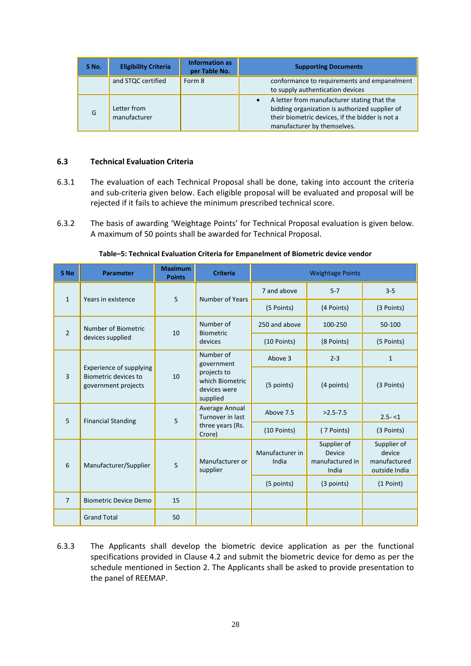| S No. | <b>Eligibility Criteria</b> | <b>Information as</b><br>per Table No. | <b>Supporting Documents</b>                                                                                                                                                                  |
|-------|-----------------------------|----------------------------------------|----------------------------------------------------------------------------------------------------------------------------------------------------------------------------------------------|
|       | and STQC certified          | Form 8                                 | conformance to requirements and empanelment<br>to supply authentication devices                                                                                                              |
| G     | Letter from<br>manufacturer |                                        | A letter from manufacturer stating that the<br>$\bullet$<br>bidding organization is authorized supplier of<br>their biometric devices, if the bidder is not a<br>manufacturer by themselves. |

## **6.3 Technical Evaluation Criteria**

- 6.3.1 The evaluation of each Technical Proposal shall be done, taking into account the criteria and sub-criteria given below. Each eligible proposal will be evaluated and proposal will be rejected if it fails to achieve the minimum prescribed technical score.
- 6.3.2 The basis of awarding 'Weightage Points' for Technical Proposal evaluation is given below. A maximum of 50 points shall be awarded for Technical Proposal.

| S <sub>No</sub> | <b>Parameter</b>                                                       | <b>Maximum</b><br><b>Points</b> | <b>Criteria</b>                                                                       |                          | <b>Weightage Points</b>                           |                                                        |
|-----------------|------------------------------------------------------------------------|---------------------------------|---------------------------------------------------------------------------------------|--------------------------|---------------------------------------------------|--------------------------------------------------------|
| $\mathbf{1}$    | Years in existence                                                     | 5                               | Number of Years                                                                       | 7 and above              | $5 - 7$<br>$3 - 5$                                |                                                        |
|                 |                                                                        |                                 |                                                                                       | (5 Points)               | (4 Points)                                        | (3 Points)                                             |
| $\overline{2}$  | Number of Biometric                                                    | 10                              | Number of                                                                             | 250 and above            | 100-250                                           | 50-100                                                 |
|                 | devices supplied                                                       |                                 | <b>Biometric</b><br>devices                                                           | (10 Points)              | (8 Points)                                        | (5 Points)                                             |
|                 |                                                                        | 10                              | Number of<br>government<br>projects to<br>which Biometric<br>devices were<br>supplied | Above 3                  | $2 - 3$                                           | 1                                                      |
| 3               | Experience of supplying<br>Biometric devices to<br>government projects |                                 |                                                                                       | (5 points)               | (4 points)                                        | (3 Points)                                             |
| 5               | <b>Financial Standing</b>                                              | 5                               | Average Annual<br>Turnover in last                                                    | Above 7.5                | $>2.5 - 7.5$                                      | $2.5 - 1$                                              |
|                 |                                                                        |                                 | three years (Rs.<br>Crore)                                                            | (10 Points)              | (7 Points)                                        | (3 Points)                                             |
| 6               | Manufacturer/Supplier                                                  | 5                               | Manufacturer or<br>supplier                                                           | Manufacturer in<br>India | Supplier of<br>Device<br>manufactured in<br>India | Supplier of<br>device<br>manufactured<br>outside India |
|                 |                                                                        |                                 |                                                                                       | (5 points)               | (3 points)                                        | (1 Point)                                              |
| $\overline{7}$  | <b>Biometric Device Demo</b>                                           | 15                              |                                                                                       |                          |                                                   |                                                        |
|                 | <b>Grand Total</b>                                                     | 50                              |                                                                                       |                          |                                                   |                                                        |

## **Table–5: Technical Evaluation Criteria for Empanelment of Biometric device vendor**

6.3.3 The Applicants shall develop the biometric device application as per the functional specifications provided in Clause 4.2 and submit the biometric device for demo as per the schedule mentioned in Section 2. The Applicants shall be asked to provide presentation to the panel of REEMAP.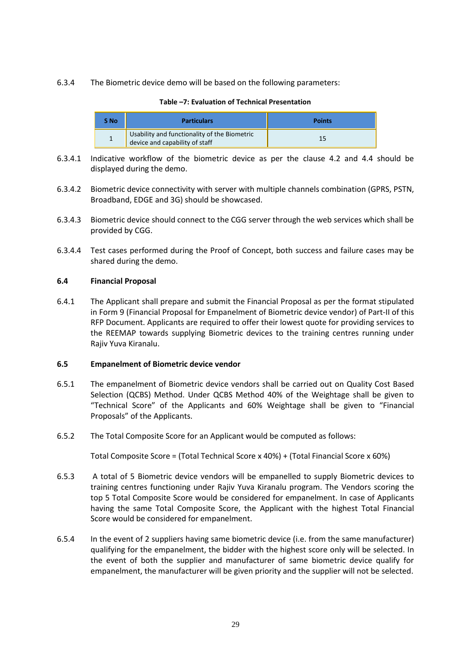6.3.4 The Biometric device demo will be based on the following parameters:

| S No | <b>Particulars</b>                                                             | <b>Points</b> |
|------|--------------------------------------------------------------------------------|---------------|
|      | Usability and functionality of the Biometric<br>device and capability of staff |               |

- **Table –7: Evaluation of Technical Presentation**
- 6.3.4.1 Indicative workflow of the biometric device as per the clause 4.2 and 4.4 should be displayed during the demo.
- 6.3.4.2 Biometric device connectivity with server with multiple channels combination (GPRS, PSTN, Broadband, EDGE and 3G) should be showcased.
- 6.3.4.3 Biometric device should connect to the CGG server through the web services which shall be provided by CGG.
- 6.3.4.4 Test cases performed during the Proof of Concept, both success and failure cases may be shared during the demo.

## **6.4 Financial Proposal**

6.4.1 The Applicant shall prepare and submit the Financial Proposal as per the format stipulated in Form 9 (Financial Proposal for Empanelment of Biometric device vendor) of Part-II of this RFP Document. Applicants are required to offer their lowest quote for providing services to the REEMAP towards supplying Biometric devices to the training centres running under Rajiv Yuva Kiranalu.

## **6.5 Empanelment of Biometric device vendor**

- 6.5.1 The empanelment of Biometric device vendors shall be carried out on Quality Cost Based Selection (QCBS) Method. Under QCBS Method 40% of the Weightage shall be given to "Technical Score" of the Applicants and 60% Weightage shall be given to "Financial Proposals" of the Applicants.
- 6.5.2 The Total Composite Score for an Applicant would be computed as follows:

Total Composite Score = (Total Technical Score x 40%) + (Total Financial Score x 60%)

- 6.5.3 A total of 5 Biometric device vendors will be empanelled to supply Biometric devices to training centres functioning under Rajiv Yuva Kiranalu program. The Vendors scoring the top 5 Total Composite Score would be considered for empanelment. In case of Applicants having the same Total Composite Score, the Applicant with the highest Total Financial Score would be considered for empanelment.
- 6.5.4 In the event of 2 suppliers having same biometric device (i.e. from the same manufacturer) qualifying for the empanelment, the bidder with the highest score only will be selected. In the event of both the supplier and manufacturer of same biometric device qualify for empanelment, the manufacturer will be given priority and the supplier will not be selected.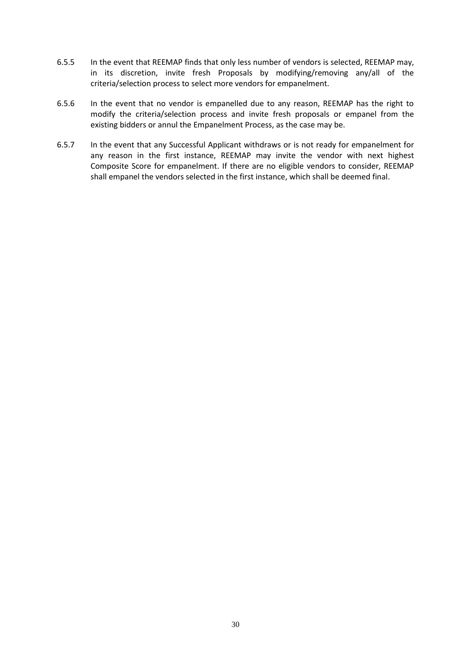- 6.5.5 In the event that REEMAP finds that only less number of vendors is selected, REEMAP may, in its discretion, invite fresh Proposals by modifying/removing any/all of the criteria/selection process to select more vendors for empanelment.
- 6.5.6 In the event that no vendor is empanelled due to any reason, REEMAP has the right to modify the criteria/selection process and invite fresh proposals or empanel from the existing bidders or annul the Empanelment Process, as the case may be.
- 6.5.7 In the event that any Successful Applicant withdraws or is not ready for empanelment for any reason in the first instance, REEMAP may invite the vendor with next highest Composite Score for empanelment. If there are no eligible vendors to consider, REEMAP shall empanel the vendors selected in the first instance, which shall be deemed final.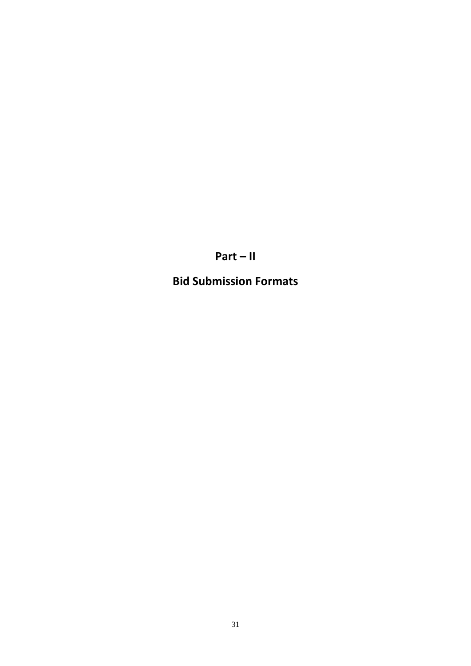**Part – II**

**Bid Submission Formats**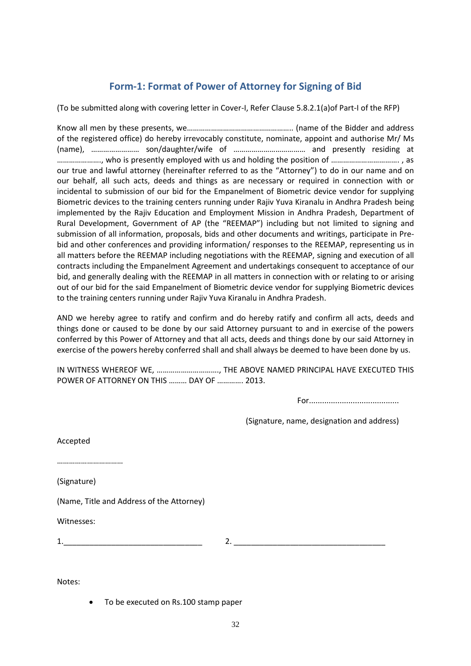# **Form-1: Format of Power of Attorney for Signing of Bid**

(To be submitted along with covering letter in Cover-I, Refer Clause 5.8.2.1(a)of Part-I of the RFP)

Know all men by these presents, we…………………………………………….. (name of the Bidder and address of the registered office) do hereby irrevocably constitute, nominate, appoint and authorise Mr/ Ms (name), …………………… son/daughter/wife of ……………………………… and presently residing at …………………., who is presently employed with us and holding the position of ……………………………. , as our true and lawful attorney (hereinafter referred to as the "Attorney") to do in our name and on our behalf, all such acts, deeds and things as are necessary or required in connection with or incidental to submission of our bid for the Empanelment of Biometric device vendor for supplying Biometric devices to the training centers running under Rajiv Yuva Kiranalu in Andhra Pradesh being implemented by the Rajiv Education and Employment Mission in Andhra Pradesh, Department of Rural Development, Government of AP (the "REEMAP") including but not limited to signing and submission of all information, proposals, bids and other documents and writings, participate in Prebid and other conferences and providing information/ responses to the REEMAP, representing us in all matters before the REEMAP including negotiations with the REEMAP, signing and execution of all contracts including the Empanelment Agreement and undertakings consequent to acceptance of our bid, and generally dealing with the REEMAP in all matters in connection with or relating to or arising out of our bid for the said Empanelment of Biometric device vendor for supplying Biometric devices to the training centers running under Rajiv Yuva Kiranalu in Andhra Pradesh.

AND we hereby agree to ratify and confirm and do hereby ratify and confirm all acts, deeds and things done or caused to be done by our said Attorney pursuant to and in exercise of the powers conferred by this Power of Attorney and that all acts, deeds and things done by our said Attorney in exercise of the powers hereby conferred shall and shall always be deemed to have been done by us.

IN WITNESS WHEREOF WE, …………………………., THE ABOVE NAMED PRINCIPAL HAVE EXECUTED THIS POWER OF ATTORNEY ON THIS ……… DAY OF …………. 2013.

For.........................................

(Signature, name, designation and address)

Accepted

……………………………

(Signature)

(Name, Title and Address of the Attorney)

Witnesses:

1.\_\_\_\_\_\_\_\_\_\_\_\_\_\_\_\_\_\_\_\_\_\_\_\_\_\_\_\_\_\_\_\_ 2. \_\_\_\_\_\_\_\_\_\_\_\_\_\_\_\_\_\_\_\_\_\_\_\_\_\_\_\_\_\_\_\_\_\_\_

Notes:

To be executed on Rs.100 stamp paper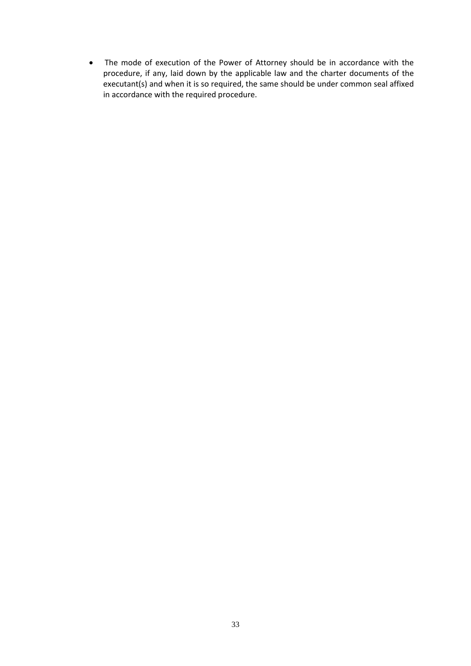The mode of execution of the Power of Attorney should be in accordance with the procedure, if any, laid down by the applicable law and the charter documents of the executant(s) and when it is so required, the same should be under common seal affixed in accordance with the required procedure.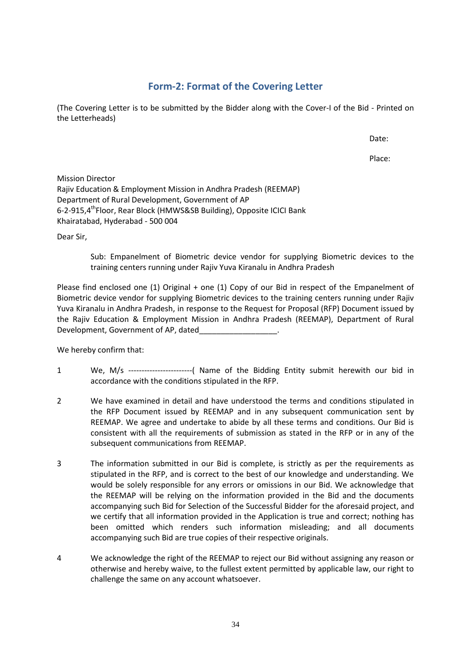## **Form-2: Format of the Covering Letter**

(The Covering Letter is to be submitted by the Bidder along with the Cover-I of the Bid - Printed on the Letterheads)

Date:

Place:

Mission Director Rajiv Education & Employment Mission in Andhra Pradesh (REEMAP) Department of Rural Development, Government of AP 6-2-915,4<sup>th</sup>Floor, Rear Block (HMWS&SB Building), Opposite ICICI Bank Khairatabad, Hyderabad - 500 004

Dear Sir,

Sub: Empanelment of Biometric device vendor for supplying Biometric devices to the training centers running under Rajiv Yuva Kiranalu in Andhra Pradesh

Please find enclosed one (1) Original + one (1) Copy of our Bid in respect of the Empanelment of Biometric device vendor for supplying Biometric devices to the training centers running under Rajiv Yuva Kiranalu in Andhra Pradesh, in response to the Request for Proposal (RFP) Document issued by the Rajiv Education & Employment Mission in Andhra Pradesh (REEMAP), Department of Rural Development, Government of AP, dated\_\_\_\_\_\_\_\_\_\_\_\_\_\_\_\_\_\_.

We hereby confirm that:

- 1 We, M/s ------------------------( Name of the Bidding Entity submit herewith our bid in accordance with the conditions stipulated in the RFP.
- 2 We have examined in detail and have understood the terms and conditions stipulated in the RFP Document issued by REEMAP and in any subsequent communication sent by REEMAP. We agree and undertake to abide by all these terms and conditions. Our Bid is consistent with all the requirements of submission as stated in the RFP or in any of the subsequent communications from REEMAP.
- 3 The information submitted in our Bid is complete, is strictly as per the requirements as stipulated in the RFP, and is correct to the best of our knowledge and understanding. We would be solely responsible for any errors or omissions in our Bid. We acknowledge that the REEMAP will be relying on the information provided in the Bid and the documents accompanying such Bid for Selection of the Successful Bidder for the aforesaid project, and we certify that all information provided in the Application is true and correct; nothing has been omitted which renders such information misleading; and all documents accompanying such Bid are true copies of their respective originals.
- 4 We acknowledge the right of the REEMAP to reject our Bid without assigning any reason or otherwise and hereby waive, to the fullest extent permitted by applicable law, our right to challenge the same on any account whatsoever.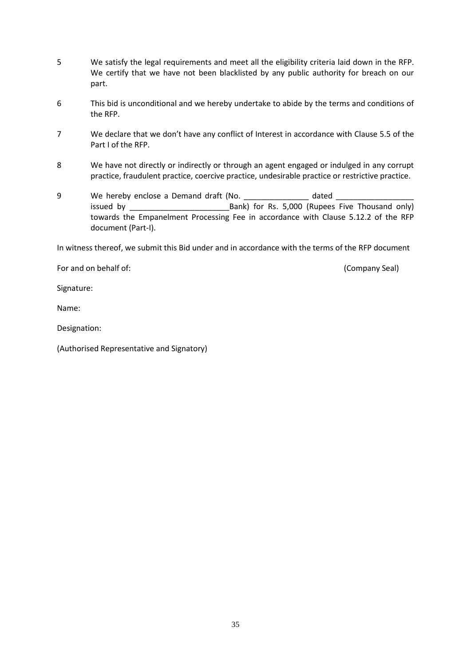- 5 We satisfy the legal requirements and meet all the eligibility criteria laid down in the RFP. We certify that we have not been blacklisted by any public authority for breach on our part.
- 6 This bid is unconditional and we hereby undertake to abide by the terms and conditions of the RFP.
- 7 We declare that we don't have any conflict of Interest in accordance with Clause 5.5 of the Part I of the RFP.
- 8 We have not directly or indirectly or through an agent engaged or indulged in any corrupt practice, fraudulent practice, coercive practice, undesirable practice or restrictive practice.
- 9 We hereby enclose a Demand draft (No. \_\_\_\_\_\_\_\_\_\_\_\_\_\_\_\_ dated issued by **Example 20** Bank) for Rs. 5,000 (Rupees Five Thousand only) towards the Empanelment Processing Fee in accordance with Clause 5.12.2 of the RFP document (Part-I).

In witness thereof, we submit this Bid under and in accordance with the terms of the RFP document

For and on behalf of: (Company Seal)

Signature:

Name:

Designation:

(Authorised Representative and Signatory)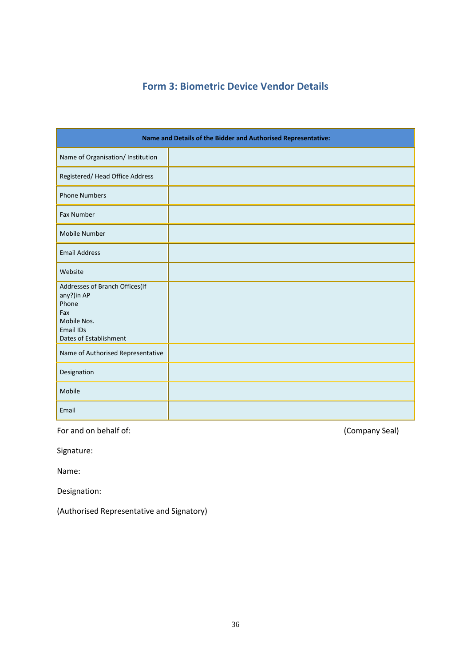# **Form 3: Biometric Device Vendor Details**

|                                                                                                                           | Name and Details of the Bidder and Authorised Representative: |
|---------------------------------------------------------------------------------------------------------------------------|---------------------------------------------------------------|
| Name of Organisation/ Institution                                                                                         |                                                               |
| Registered/ Head Office Address                                                                                           |                                                               |
| <b>Phone Numbers</b>                                                                                                      |                                                               |
| Fax Number                                                                                                                |                                                               |
| Mobile Number                                                                                                             |                                                               |
| <b>Email Address</b>                                                                                                      |                                                               |
| Website                                                                                                                   |                                                               |
| Addresses of Branch Offices(If<br>any?)in AP<br>Phone<br>Fax<br>Mobile Nos.<br><b>Email IDs</b><br>Dates of Establishment |                                                               |
| Name of Authorised Representative                                                                                         |                                                               |
| Designation                                                                                                               |                                                               |
| Mobile                                                                                                                    |                                                               |
| Email                                                                                                                     |                                                               |

For and on behalf of: (Company Seal)

Signature:

Name:

Designation:

(Authorised Representative and Signatory)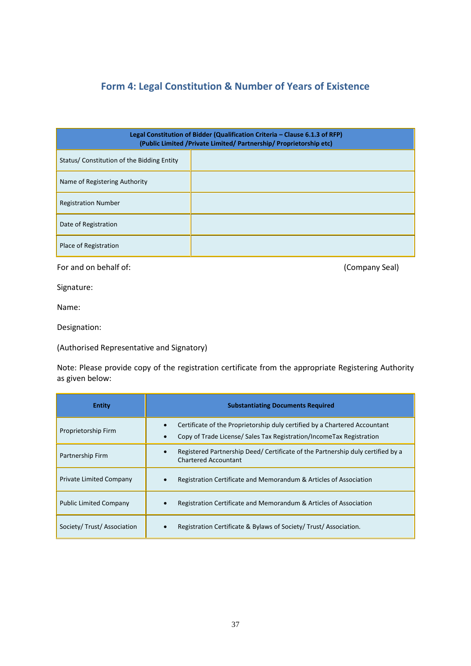# **Form 4: Legal Constitution & Number of Years of Existence**

| Legal Constitution of Bidder (Qualification Criteria - Clause 6.1.3 of RFP)<br>(Public Limited / Private Limited/ Partnership/ Proprietorship etc) |  |  |
|----------------------------------------------------------------------------------------------------------------------------------------------------|--|--|
| Status/Constitution of the Bidding Entity                                                                                                          |  |  |
| Name of Registering Authority                                                                                                                      |  |  |
| <b>Registration Number</b>                                                                                                                         |  |  |
| Date of Registration                                                                                                                               |  |  |
| Place of Registration                                                                                                                              |  |  |

For and on behalf of:  $(Comparing: 1)$ 

Signature:

Name:

Designation:

(Authorised Representative and Signatory)

Note: Please provide copy of the registration certificate from the appropriate Registering Authority as given below:

| <b>Entity</b>                  | <b>Substantiating Documents Required</b>                                                                                                           |
|--------------------------------|----------------------------------------------------------------------------------------------------------------------------------------------------|
| Proprietorship Firm            | Certificate of the Proprietorship duly certified by a Chartered Accountant<br>Copy of Trade License/ Sales Tax Registration/IncomeTax Registration |
| Partnership Firm               | Registered Partnership Deed/ Certificate of the Partnership duly certified by a<br><b>Chartered Accountant</b>                                     |
| <b>Private Limited Company</b> | Registration Certificate and Memorandum & Articles of Association                                                                                  |
| <b>Public Limited Company</b>  | Registration Certificate and Memorandum & Articles of Association                                                                                  |
| Society/Trust/Association      | Registration Certificate & Bylaws of Society/Trust/Association.<br>$\bullet$                                                                       |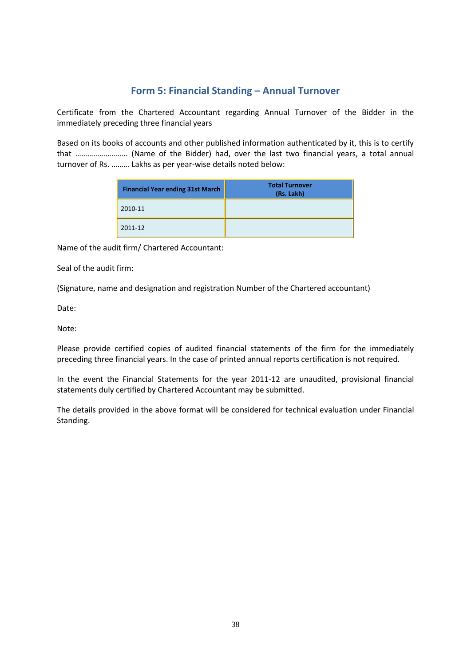# **Form 5: Financial Standing – Annual Turnover**

Certificate from the Chartered Accountant regarding Annual Turnover of the Bidder in the immediately preceding three financial years

Based on its books of accounts and other published information authenticated by it, this is to certify that …………………….. (Name of the Bidder) had, over the last two financial years, a total annual turnover of Rs. ……… Lakhs as per year-wise details noted below:

| <b>Financial Year ending 31st March</b> | <b>Total Turnover</b><br>(Rs. Lakh) |
|-----------------------------------------|-------------------------------------|
| 2010-11                                 |                                     |
| 2011-12                                 |                                     |

Name of the audit firm/ Chartered Accountant:

Seal of the audit firm:

(Signature, name and designation and registration Number of the Chartered accountant)

Date:

Note:

Please provide certified copies of audited financial statements of the firm for the immediately preceding three financial years. In the case of printed annual reports certification is not required.

In the event the Financial Statements for the year 2011-12 are unaudited, provisional financial statements duly certified by Chartered Accountant may be submitted.

The details provided in the above format will be considered for technical evaluation under Financial Standing.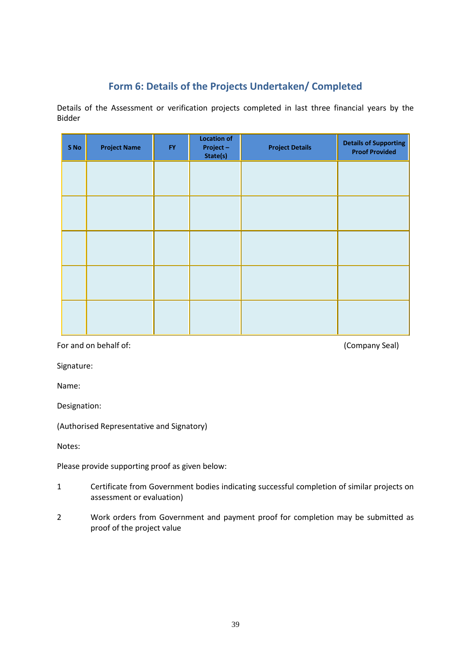# **Form 6: Details of the Projects Undertaken/ Completed**

Details of the Assessment or verification projects completed in last three financial years by the Bidder

| S No | <b>Project Name</b> | <b>FY</b> | <b>Location of</b><br>Project-<br>State(s) | <b>Project Details</b> | <b>Details of Supporting</b><br><b>Proof Provided</b> |
|------|---------------------|-----------|--------------------------------------------|------------------------|-------------------------------------------------------|
|      |                     |           |                                            |                        |                                                       |
|      |                     |           |                                            |                        |                                                       |
|      |                     |           |                                            |                        |                                                       |
|      |                     |           |                                            |                        |                                                       |
|      |                     |           |                                            |                        |                                                       |
|      |                     |           |                                            |                        |                                                       |

For and on behalf of:  $(Comparing 1)$  (Company Seal)

Signature:

Name:

Designation:

(Authorised Representative and Signatory)

Notes:

Please provide supporting proof as given below:

- 1 Certificate from Government bodies indicating successful completion of similar projects on assessment or evaluation)
- 2 Work orders from Government and payment proof for completion may be submitted as proof of the project value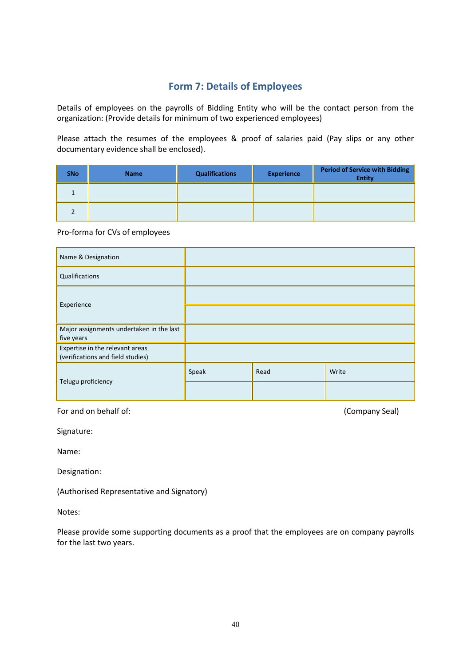# **Form 7: Details of Employees**

Details of employees on the payrolls of Bidding Entity who will be the contact person from the organization: (Provide details for minimum of two experienced employees)

Please attach the resumes of the employees & proof of salaries paid (Pay slips or any other documentary evidence shall be enclosed).

| <b>SNo</b> | <b>Name</b> | <b>Qualifications</b> | <b>Experience</b> | <b>Period of Service with Bidding</b><br><b>Entity</b> |
|------------|-------------|-----------------------|-------------------|--------------------------------------------------------|
|            |             |                       |                   |                                                        |
|            |             |                       |                   |                                                        |

#### Pro-forma for CVs of employees

| Name & Designation                                                   |       |      |       |
|----------------------------------------------------------------------|-------|------|-------|
| Qualifications                                                       |       |      |       |
|                                                                      |       |      |       |
| Experience                                                           |       |      |       |
| Major assignments undertaken in the last<br>five years               |       |      |       |
| Expertise in the relevant areas<br>(verifications and field studies) |       |      |       |
|                                                                      | Speak | Read | Write |
| Telugu proficiency                                                   |       |      |       |

For and on behalf of: (Company Seal)

Signature:

Name:

Designation:

(Authorised Representative and Signatory)

Notes:

Please provide some supporting documents as a proof that the employees are on company payrolls for the last two years.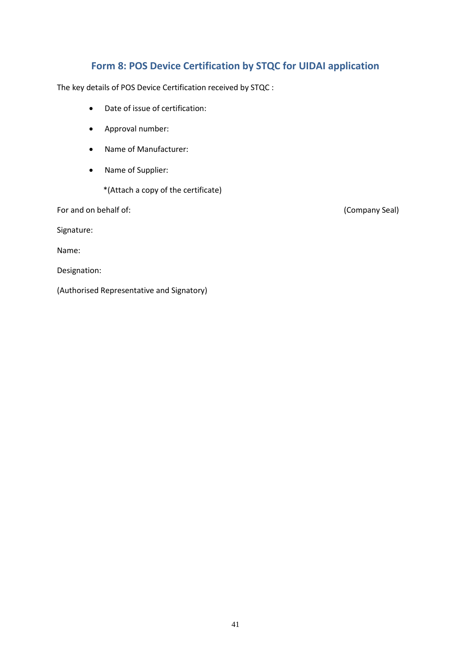# **Form 8: POS Device Certification by STQC for UIDAI application**

The key details of POS Device Certification received by STQC :

- Date of issue of certification:
- Approval number:
- Name of Manufacturer:
- Name of Supplier:
	- \*(Attach a copy of the certificate)

For and on behalf of: (Company Seal)

Signature:

Name:

Designation:

(Authorised Representative and Signatory)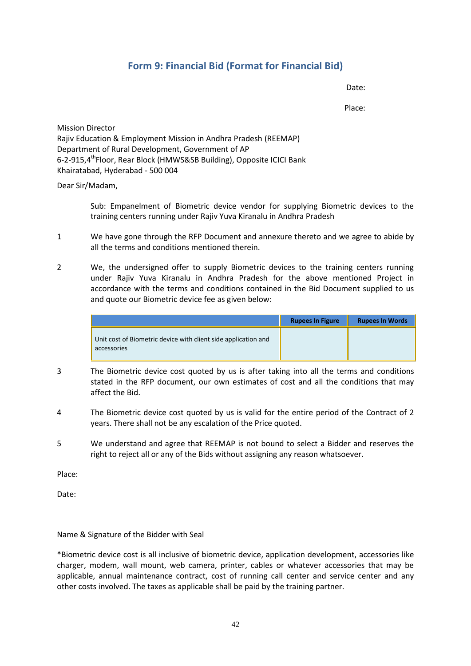# **Form 9: Financial Bid (Format for Financial Bid)**

Date:

Place:

Mission Director Rajiv Education & Employment Mission in Andhra Pradesh (REEMAP) Department of Rural Development, Government of AP 6-2-915,4<sup>th</sup>Floor, Rear Block (HMWS&SB Building), Opposite ICICI Bank Khairatabad, Hyderabad - 500 004

Dear Sir/Madam,

Sub: Empanelment of Biometric device vendor for supplying Biometric devices to the training centers running under Rajiv Yuva Kiranalu in Andhra Pradesh

- 1 We have gone through the RFP Document and annexure thereto and we agree to abide by all the terms and conditions mentioned therein.
- 2 We, the undersigned offer to supply Biometric devices to the training centers running under Rajiv Yuva Kiranalu in Andhra Pradesh for the above mentioned Project in accordance with the terms and conditions contained in the Bid Document supplied to us and quote our Biometric device fee as given below:

|                                                                               | <b>Rupees In Figure</b> | <b>Rupees In Words</b> |
|-------------------------------------------------------------------------------|-------------------------|------------------------|
| Unit cost of Biometric device with client side application and<br>accessories |                         |                        |

- 3 The Biometric device cost quoted by us is after taking into all the terms and conditions stated in the RFP document, our own estimates of cost and all the conditions that may affect the Bid.
- 4 The Biometric device cost quoted by us is valid for the entire period of the Contract of 2 years. There shall not be any escalation of the Price quoted.
- 5 We understand and agree that REEMAP is not bound to select a Bidder and reserves the right to reject all or any of the Bids without assigning any reason whatsoever.

Place:

Date:

## Name & Signature of the Bidder with Seal

\*Biometric device cost is all inclusive of biometric device, application development, accessories like charger, modem, wall mount, web camera, printer, cables or whatever accessories that may be applicable, annual maintenance contract, cost of running call center and service center and any other costs involved. The taxes as applicable shall be paid by the training partner.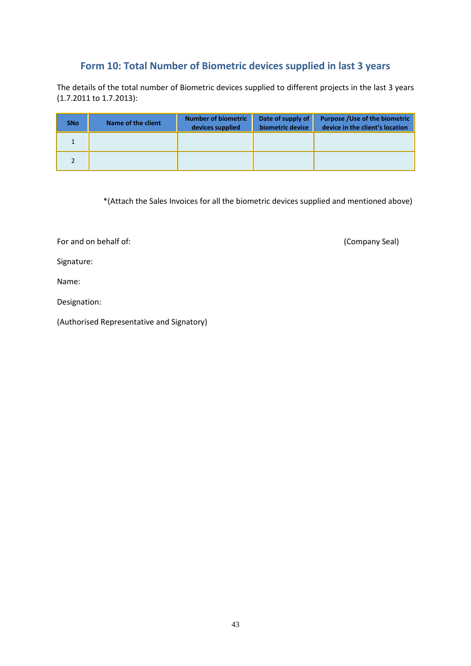## **Form 10: Total Number of Biometric devices supplied in last 3 years**

The details of the total number of Biometric devices supplied to different projects in the last 3 years (1.7.2011 to 1.7.2013):

| <b>SNo</b> | Name of the client | <b>Number of biometric</b><br>devices supplied | Date of supply of<br>biometric device | <b>Purpose / Use of the biometric</b><br>device in the client's location |
|------------|--------------------|------------------------------------------------|---------------------------------------|--------------------------------------------------------------------------|
|            |                    |                                                |                                       |                                                                          |
|            |                    |                                                |                                       |                                                                          |

\*(Attach the Sales Invoices for all the biometric devices supplied and mentioned above)

For and on behalf of:  $(Comparing 1)$  (Company Seal)

Signature:

Name:

Designation:

(Authorised Representative and Signatory)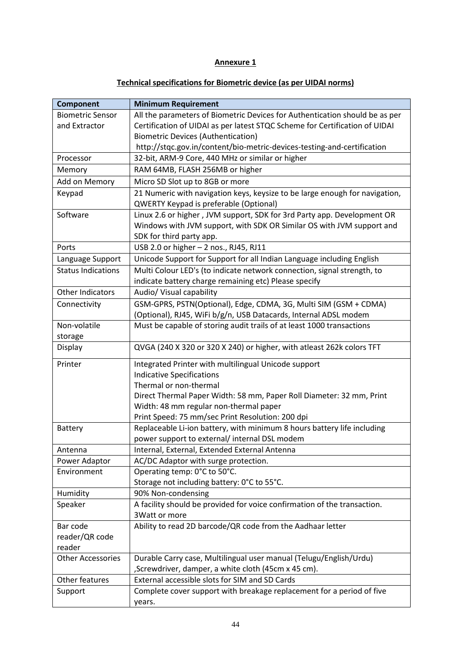## **Annexure 1**

## **Technical specifications for Biometric device (as per UIDAI norms)**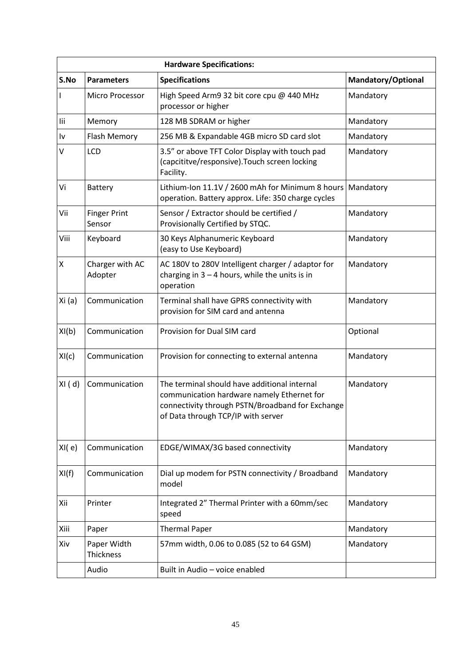|          | <b>Hardware Specifications:</b> |                                                                                                                                                                                      |                    |  |  |
|----------|---------------------------------|--------------------------------------------------------------------------------------------------------------------------------------------------------------------------------------|--------------------|--|--|
| S.No     | <b>Parameters</b>               | <b>Specifications</b>                                                                                                                                                                | Mandatory/Optional |  |  |
| L        | Micro Processor                 | High Speed Arm9 32 bit core cpu @ 440 MHz<br>processor or higher                                                                                                                     | Mandatory          |  |  |
| lii      | Memory                          | 128 MB SDRAM or higher                                                                                                                                                               | Mandatory          |  |  |
| I٧       | Flash Memory                    | 256 MB & Expandable 4GB micro SD card slot                                                                                                                                           | Mandatory          |  |  |
| V        | <b>LCD</b>                      | 3.5" or above TFT Color Display with touch pad<br>(capcititve/responsive).Touch screen locking<br>Facility.                                                                          | Mandatory          |  |  |
| Vi       | <b>Battery</b>                  | Lithium-Ion 11.1V / 2600 mAh for Minimum 8 hours<br>operation. Battery approx. Life: 350 charge cycles                                                                               | Mandatory          |  |  |
| Vii      | <b>Finger Print</b><br>Sensor   | Sensor / Extractor should be certified /<br>Provisionally Certified by STQC.                                                                                                         | Mandatory          |  |  |
| Viii     | Keyboard                        | 30 Keys Alphanumeric Keyboard<br>(easy to Use Keyboard)                                                                                                                              | Mandatory          |  |  |
| Χ        | Charger with AC<br>Adopter      | AC 180V to 280V Intelligent charger / adaptor for<br>charging in $3 - 4$ hours, while the units is in<br>operation                                                                   | Mandatory          |  |  |
| Xi(a)    | Communication                   | Terminal shall have GPRS connectivity with<br>provision for SIM card and antenna                                                                                                     | Mandatory          |  |  |
| XI(b)    | Communication                   | Provision for Dual SIM card                                                                                                                                                          | Optional           |  |  |
| XI(c)    | Communication                   | Provision for connecting to external antenna                                                                                                                                         | Mandatory          |  |  |
| $XI$ (d) | Communication                   | The terminal should have additional internal<br>communication hardware namely Ethernet for<br>connectivity through PSTN/Broadband for Exchange<br>of Data through TCP/IP with server | Mandatory          |  |  |
| XI(e)    | Communication                   | EDGE/WIMAX/3G based connectivity                                                                                                                                                     | Mandatory          |  |  |
| XI(f)    | Communication                   | Dial up modem for PSTN connectivity / Broadband<br>model                                                                                                                             | Mandatory          |  |  |
| Xii      | Printer                         | Integrated 2" Thermal Printer with a 60mm/sec<br>speed                                                                                                                               | Mandatory          |  |  |
| Xiii     | Paper                           | <b>Thermal Paper</b>                                                                                                                                                                 | Mandatory          |  |  |
| Xiv      | Paper Width<br>Thickness        | 57mm width, 0.06 to 0.085 (52 to 64 GSM)                                                                                                                                             | Mandatory          |  |  |
|          | Audio                           | Built in Audio - voice enabled                                                                                                                                                       |                    |  |  |